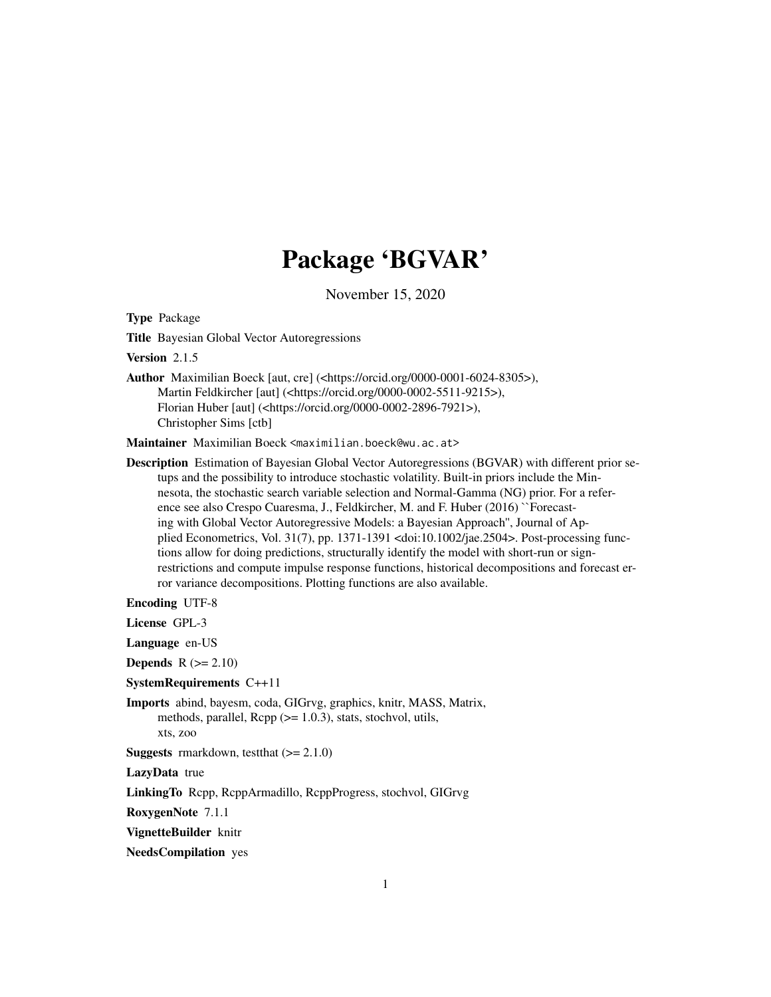# Package 'BGVAR'

November 15, 2020

<span id="page-0-0"></span>Type Package

Title Bayesian Global Vector Autoregressions

Version 2.1.5

Author Maximilian Boeck [aut, cre] (<https://orcid.org/0000-0001-6024-8305>), Martin Feldkircher [aut] (<https://orcid.org/0000-0002-5511-9215>), Florian Huber [aut] (<https://orcid.org/0000-0002-2896-7921>), Christopher Sims [ctb]

Maintainer Maximilian Boeck <maximilian.boeck@wu.ac.at>

Description Estimation of Bayesian Global Vector Autoregressions (BGVAR) with different prior setups and the possibility to introduce stochastic volatility. Built-in priors include the Minnesota, the stochastic search variable selection and Normal-Gamma (NG) prior. For a reference see also Crespo Cuaresma, J., Feldkircher, M. and F. Huber (2016) ``Forecasting with Global Vector Autoregressive Models: a Bayesian Approach'', Journal of Applied Econometrics, Vol. 31(7), pp. 1371-1391 <doi:10.1002/jae.2504>. Post-processing functions allow for doing predictions, structurally identify the model with short-run or signrestrictions and compute impulse response functions, historical decompositions and forecast error variance decompositions. Plotting functions are also available.

Encoding UTF-8

License GPL-3

Language en-US

**Depends**  $R$  ( $>= 2.10$ )

SystemRequirements C++11

Imports abind, bayesm, coda, GIGrvg, graphics, knitr, MASS, Matrix, methods, parallel,  $\text{Rcpp}$  ( $\geq 1.0.3$ ), stats, stochvol, utils, xts, zoo

**Suggests** rmarkdown, test that  $(>= 2.1.0)$ 

LazyData true

LinkingTo Rcpp, RcppArmadillo, RcppProgress, stochvol, GIGrvg

RoxygenNote 7.1.1

VignetteBuilder knitr

NeedsCompilation yes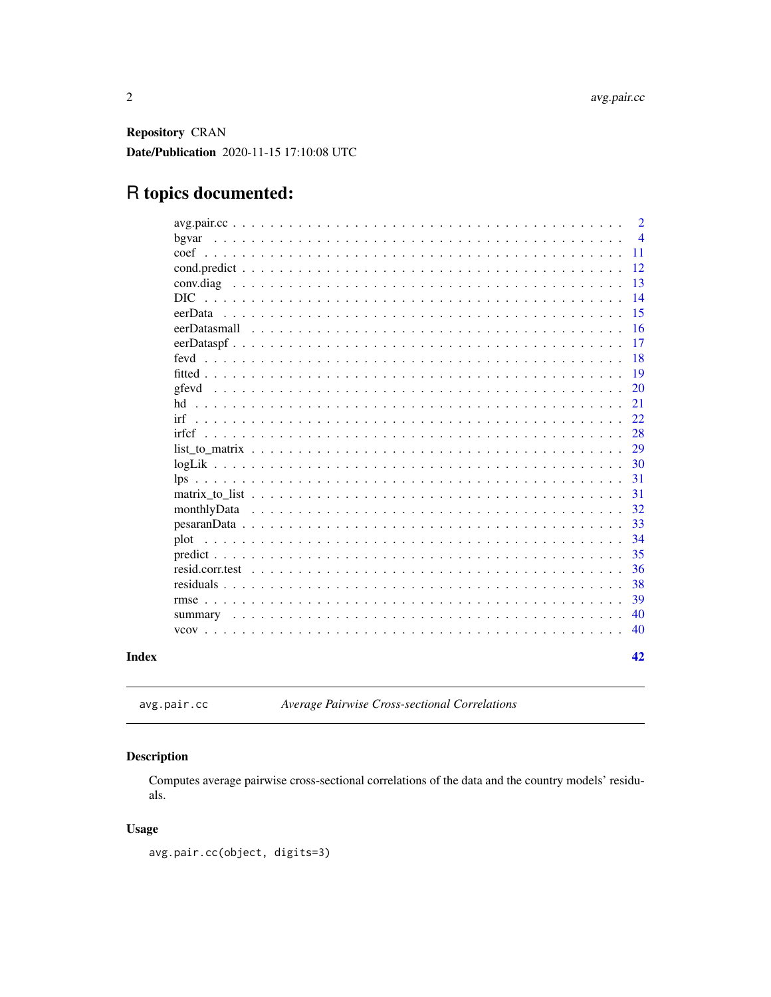<span id="page-1-0"></span>**Repository CRAN** Date/Publication 2020-11-15 17:10:08 UTC

## R topics documented:

|                                                                                                                                          | $\overline{2}$ |
|------------------------------------------------------------------------------------------------------------------------------------------|----------------|
| bgvar                                                                                                                                    | $\overline{4}$ |
| coef                                                                                                                                     | 11             |
|                                                                                                                                          | 12             |
|                                                                                                                                          | 13             |
| DIC.                                                                                                                                     | 14             |
| eerData                                                                                                                                  | 15             |
| eerDatasmall<br><u>. In the second second second second second second second second second second second second second second second</u> | 16             |
|                                                                                                                                          | 17             |
| fevd                                                                                                                                     | 18             |
|                                                                                                                                          | 19             |
| gfevd                                                                                                                                    | 20             |
|                                                                                                                                          | 21             |
| irf                                                                                                                                      | 22             |
| irfcf                                                                                                                                    | 28             |
|                                                                                                                                          | 29             |
|                                                                                                                                          | 30             |
| lps                                                                                                                                      | 31             |
|                                                                                                                                          | 31             |
|                                                                                                                                          | 32             |
|                                                                                                                                          | 33             |
| plot                                                                                                                                     | 34             |
|                                                                                                                                          | 35             |
|                                                                                                                                          | 36             |
|                                                                                                                                          | 38             |
| $\text{rm} \text{S}$                                                                                                                     | 39             |
|                                                                                                                                          | 40             |
|                                                                                                                                          | 40             |
|                                                                                                                                          |                |
|                                                                                                                                          | 42             |
|                                                                                                                                          |                |

### **Index**

```
avg.pair.cc
```
Average Pairwise Cross-sectional Correlations

### **Description**

Computes average pairwise cross-sectional correlations of the data and the country models' residuals.

#### **Usage**

avg.pair.cc(object, digits=3)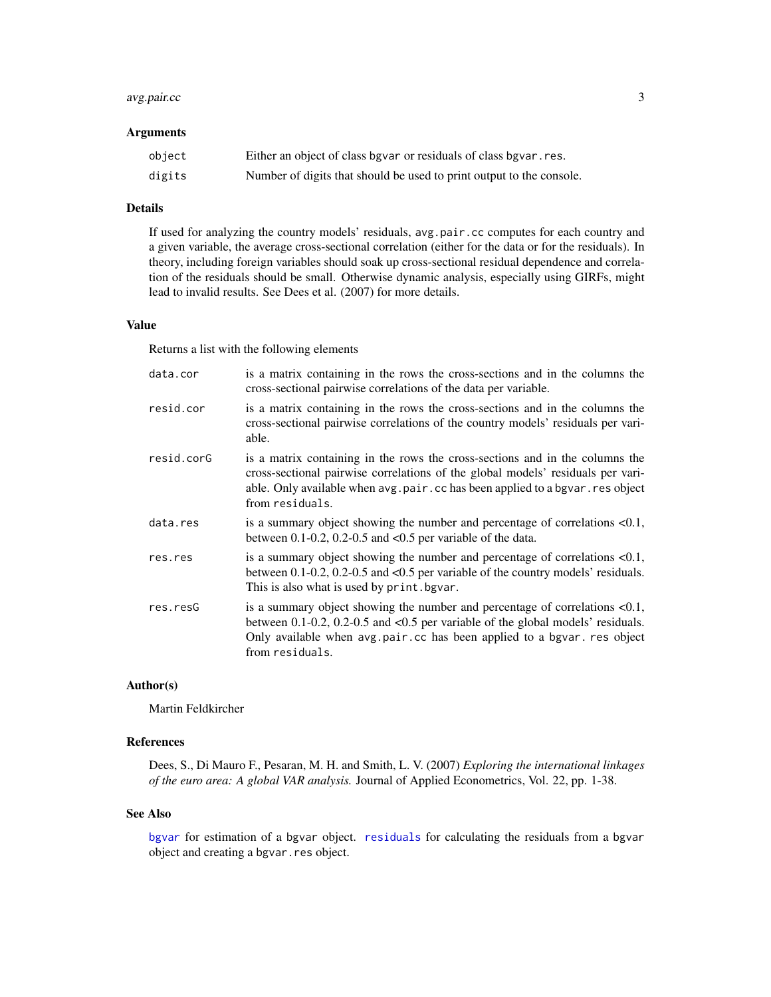#### <span id="page-2-0"></span>avg.pair.cc 3

#### **Arguments**

| object | Either an object of class bgvar or residuals of class bgvar. res.    |
|--------|----------------------------------------------------------------------|
| digits | Number of digits that should be used to print output to the console. |

#### Details

If used for analyzing the country models' residuals, avg.pair.cc computes for each country and a given variable, the average cross-sectional correlation (either for the data or for the residuals). In theory, including foreign variables should soak up cross-sectional residual dependence and correlation of the residuals should be small. Otherwise dynamic analysis, especially using GIRFs, might lead to invalid results. See Dees et al. (2007) for more details.

#### Value

Returns a list with the following elements

| is a matrix containing in the rows the cross-sections and in the columns the<br>cross-sectional pairwise correlations of the data per variable.                                                                                                                    |
|--------------------------------------------------------------------------------------------------------------------------------------------------------------------------------------------------------------------------------------------------------------------|
| is a matrix containing in the rows the cross-sections and in the columns the<br>cross-sectional pairwise correlations of the country models' residuals per vari-<br>able.                                                                                          |
| is a matrix containing in the rows the cross-sections and in the columns the<br>cross-sectional pairwise correlations of the global models' residuals per vari-<br>able. Only available when avg.pair.cc has been applied to a bgvar.res object<br>from residuals. |
| is a summary object showing the number and percentage of correlations $< 0.1$ ,<br>between $0.1$ -0.2, 0.2-0.5 and $< 0.5$ per variable of the data.                                                                                                               |
| is a summary object showing the number and percentage of correlations $< 0.1$ ,<br>between $0.1$ -0.2, 0.2-0.5 and <0.5 per variable of the country models' residuals.<br>This is also what is used by print. bgvar.                                               |
| is a summary object showing the number and percentage of correlations $< 0.1$ ,<br>between 0.1-0.2, 0.2-0.5 and <0.5 per variable of the global models' residuals.<br>Only available when avg.pair.cc has been applied to a bgvar. res object<br>from residuals.   |
|                                                                                                                                                                                                                                                                    |

#### Author(s)

Martin Feldkircher

#### References

Dees, S., Di Mauro F., Pesaran, M. H. and Smith, L. V. (2007) *Exploring the international linkages of the euro area: A global VAR analysis.* Journal of Applied Econometrics, Vol. 22, pp. 1-38.

#### See Also

[bgvar](#page-3-1) for estimation of a bgvar object. [residuals](#page-37-1) for calculating the residuals from a bgvar object and creating a bgvar.res object.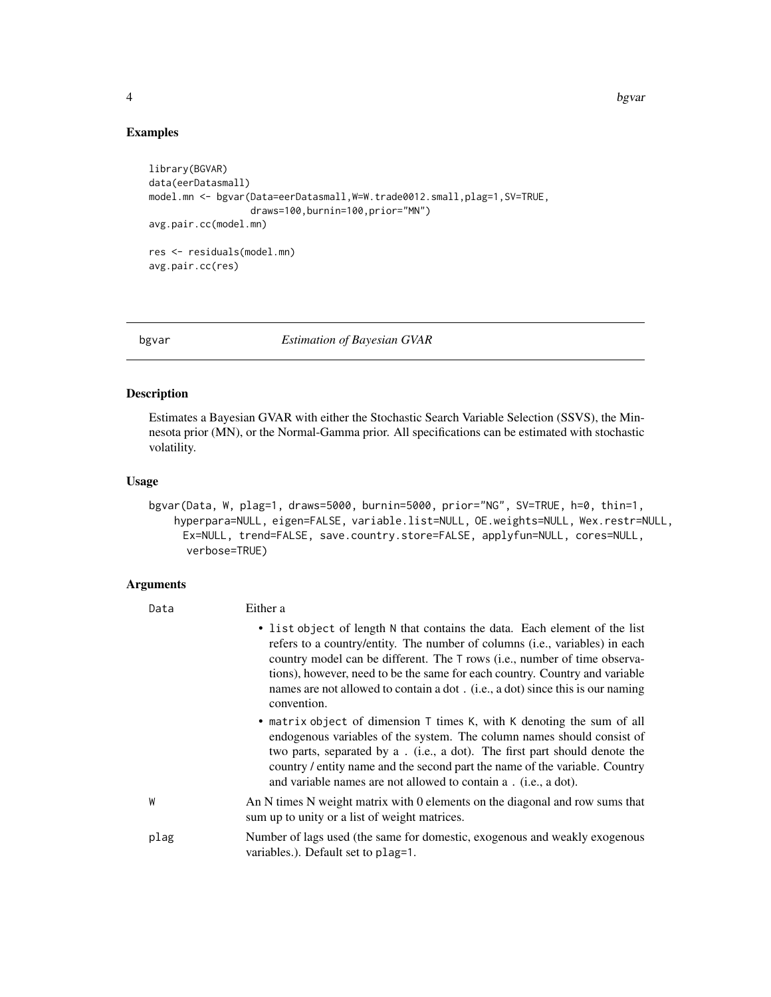4 bgvar beste blev at den større blev at den større blev at den større blev at de byvar blev at de byvar blev

#### Examples

```
library(BGVAR)
data(eerDatasmall)
model.mn <- bgvar(Data=eerDatasmall,W=W.trade0012.small,plag=1,SV=TRUE,
                  draws=100,burnin=100,prior="MN")
avg.pair.cc(model.mn)
res <- residuals(model.mn)
avg.pair.cc(res)
```
<span id="page-3-1"></span>bgvar *Estimation of Bayesian GVAR*

#### Description

Estimates a Bayesian GVAR with either the Stochastic Search Variable Selection (SSVS), the Minnesota prior (MN), or the Normal-Gamma prior. All specifications can be estimated with stochastic volatility.

#### Usage

```
bgvar(Data, W, plag=1, draws=5000, burnin=5000, prior="NG", SV=TRUE, h=0, thin=1,
    hyperpara=NULL, eigen=FALSE, variable.list=NULL, OE.weights=NULL, Wex.restr=NULL,
     Ex=NULL, trend=FALSE, save.country.store=FALSE, applyfun=NULL, cores=NULL,
      verbose=TRUE)
```
#### Arguments

| Data | Either a                                                                                                                                                                                                                                                                                                                                                                                                                        |
|------|---------------------------------------------------------------------------------------------------------------------------------------------------------------------------------------------------------------------------------------------------------------------------------------------------------------------------------------------------------------------------------------------------------------------------------|
|      | • list object of length N that contains the data. Each element of the list<br>refers to a country/entity. The number of columns ( <i>i.e.</i> , variables) in each<br>country model can be different. The T rows (i.e., number of time observa-<br>tions), however, need to be the same for each country. Country and variable<br>names are not allowed to contain a dot. (i.e., a dot) since this is our naming<br>convention. |
|      | • matrix object of dimension T times K, with K denoting the sum of all<br>endogenous variables of the system. The column names should consist of<br>two parts, separated by a . (i.e., a dot). The first part should denote the<br>country / entity name and the second part the name of the variable. Country<br>and variable names are not allowed to contain a . (i.e., a dot).                                              |
| W    | An N times N weight matrix with 0 elements on the diagonal and row sums that<br>sum up to unity or a list of weight matrices.                                                                                                                                                                                                                                                                                                   |
| plag | Number of lags used (the same for domestic, exogenous and weakly exogenous<br>variables.). Default set to plag=1.                                                                                                                                                                                                                                                                                                               |

<span id="page-3-0"></span>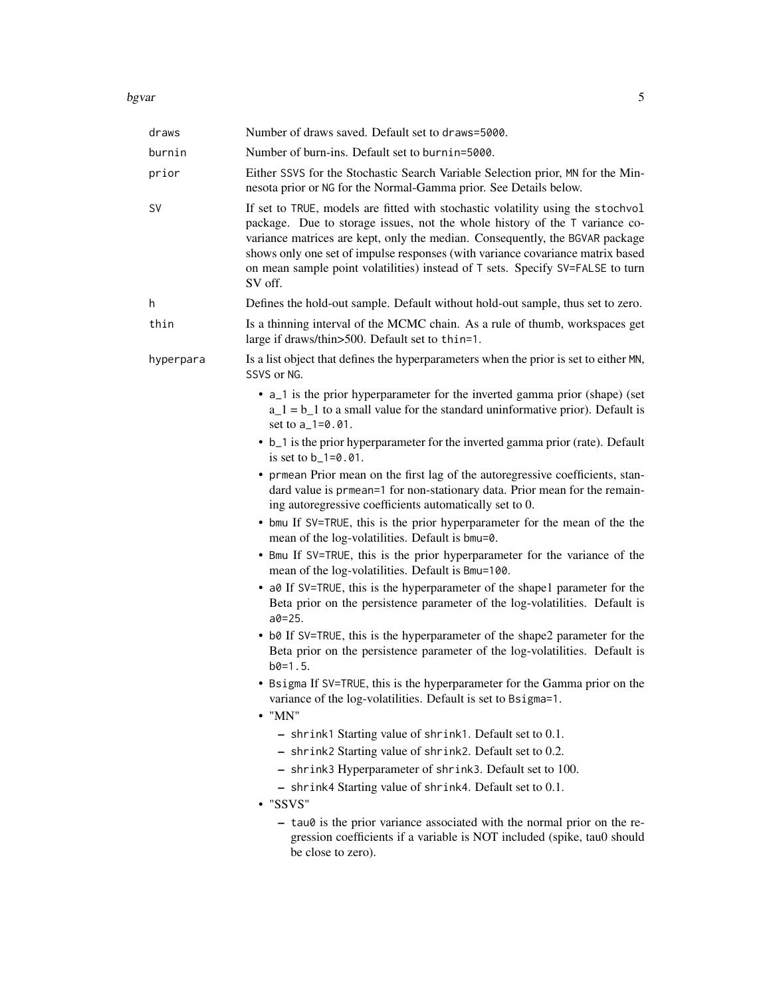#### bgvar 500 m stores that the set of the set of the set of the set of the set of the set of the set of the set of the set of the set of the set of the set of the set of the set of the set of the set of the set of the set of

| draws     | Number of draws saved. Default set to draws=5000.                                                                                                                                                                                                                                                                                                                                                                             |
|-----------|-------------------------------------------------------------------------------------------------------------------------------------------------------------------------------------------------------------------------------------------------------------------------------------------------------------------------------------------------------------------------------------------------------------------------------|
| burnin    | Number of burn-ins. Default set to burnin=5000.                                                                                                                                                                                                                                                                                                                                                                               |
| prior     | Either SSVS for the Stochastic Search Variable Selection prior, MN for the Min-<br>nesota prior or NG for the Normal-Gamma prior. See Details below.                                                                                                                                                                                                                                                                          |
| SV        | If set to TRUE, models are fitted with stochastic volatility using the stochvol<br>package. Due to storage issues, not the whole history of the T variance co-<br>variance matrices are kept, only the median. Consequently, the BGVAR package<br>shows only one set of impulse responses (with variance covariance matrix based<br>on mean sample point volatilities) instead of T sets. Specify SV=FALSE to turn<br>SV off. |
| h         | Defines the hold-out sample. Default without hold-out sample, thus set to zero.                                                                                                                                                                                                                                                                                                                                               |
| thin      | Is a thinning interval of the MCMC chain. As a rule of thumb, workspaces get<br>large if draws/thin>500. Default set to thin=1.                                                                                                                                                                                                                                                                                               |
| hyperpara | Is a list object that defines the hyperparameters when the prior is set to either MN,<br>SSVS or NG.                                                                                                                                                                                                                                                                                                                          |
|           | • a_1 is the prior hyperparameter for the inverted gamma prior (shape) (set<br>$a_1 = b_1$ to a small value for the standard uninformative prior). Default is<br>set to a_1=0.01.                                                                                                                                                                                                                                             |
|           | • b_1 is the prior hyperparameter for the inverted gamma prior (rate). Default<br>is set to $b_1 = 0.01$ .                                                                                                                                                                                                                                                                                                                    |
|           | • prmean Prior mean on the first lag of the autoregressive coefficients, stan-<br>dard value is prmean=1 for non-stationary data. Prior mean for the remain-<br>ing autoregressive coefficients automatically set to 0.                                                                                                                                                                                                       |
|           | • bmu If SV=TRUE, this is the prior hyperparameter for the mean of the the<br>mean of the log-volatilities. Default is bmu=0.                                                                                                                                                                                                                                                                                                 |
|           | • Bmu If SV=TRUE, this is the prior hyperparameter for the variance of the<br>mean of the log-volatilities. Default is Bmu=100.                                                                                                                                                                                                                                                                                               |
|           | • a0 If SV=TRUE, this is the hyperparameter of the shape1 parameter for the<br>Beta prior on the persistence parameter of the log-volatilities. Default is<br>$a0 = 25.$                                                                                                                                                                                                                                                      |
|           | • b0 If SV=TRUE, this is the hyperparameter of the shape2 parameter for the<br>Beta prior on the persistence parameter of the log-volatilities. Default is<br>$b0=1.5$ .                                                                                                                                                                                                                                                      |
|           | • Bsigma If SV=TRUE, this is the hyperparameter for the Gamma prior on the<br>variance of the log-volatilities. Default is set to Bsigma=1.<br>$\bullet$ "MN"                                                                                                                                                                                                                                                                 |
|           | - shrink1 Starting value of shrink1. Default set to 0.1.                                                                                                                                                                                                                                                                                                                                                                      |
|           | - shrink2 Starting value of shrink2. Default set to 0.2.                                                                                                                                                                                                                                                                                                                                                                      |
|           | - shrink3 Hyperparameter of shrink3. Default set to 100.                                                                                                                                                                                                                                                                                                                                                                      |
|           | - shrink4 Starting value of shrink4. Default set to 0.1.<br>$\cdot$ "SSVS"                                                                                                                                                                                                                                                                                                                                                    |
|           | - tau0 is the prior variance associated with the normal prior on the re-<br>gression coefficients if a variable is NOT included (spike, tau0 should<br>be close to zero).                                                                                                                                                                                                                                                     |
|           |                                                                                                                                                                                                                                                                                                                                                                                                                               |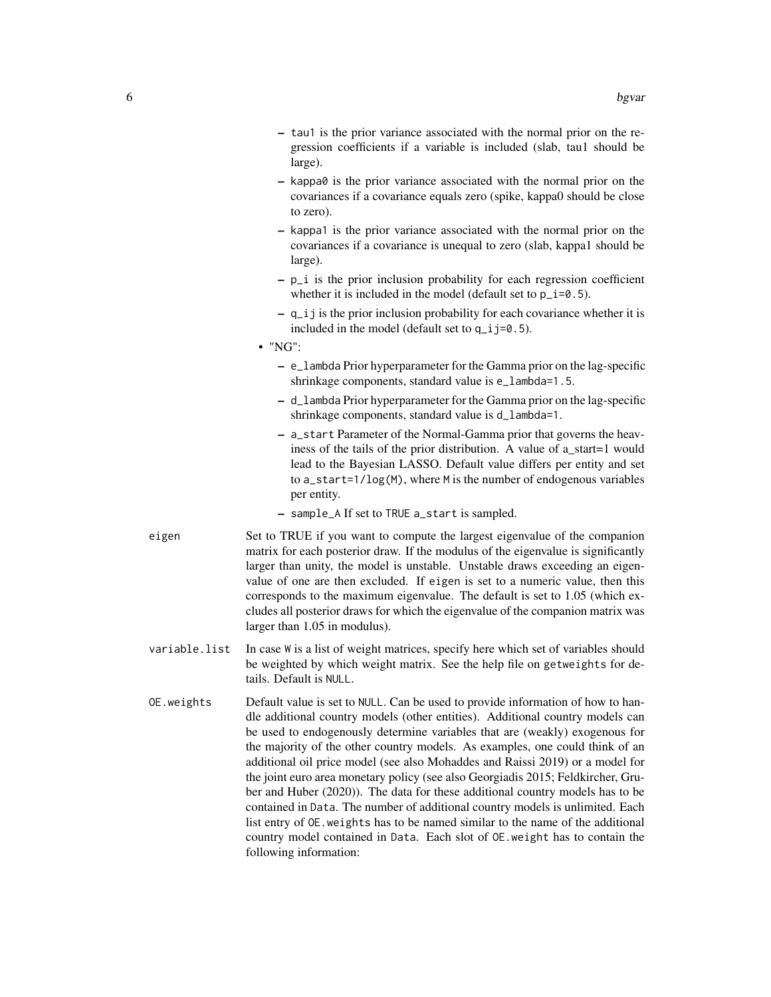- tau1 is the prior variance associated with the normal prior on the regression coefficients if a variable is included (slab, tau1 should be large).
- kappa0 is the prior variance associated with the normal prior on the covariances if a covariance equals zero (spike, kappa0 should be close to zero).
- kappa1 is the prior variance associated with the normal prior on the covariances if a covariance is unequal to zero (slab, kappa1 should be large).
- $p_i$  is the prior inclusion probability for each regression coefficient whether it is included in the model (default set to  $p_i = 0.5$ ).
- q\_ij is the prior inclusion probability for each covariance whether it is included in the model (default set to  $q_i$  j=0.5).
- "NG":
	- e\_lambda Prior hyperparameter for the Gamma prior on the lag-specific shrinkage components, standard value is e\_lambda=1.5.
	- d\_lambda Prior hyperparameter for the Gamma prior on the lag-specific shrinkage components, standard value is d\_lambda=1.
	- a\_start Parameter of the Normal-Gamma prior that governs the heaviness of the tails of the prior distribution. A value of a\_start=1 would lead to the Bayesian LASSO. Default value differs per entity and set to a\_start=1/log(M), where M is the number of endogenous variables per entity.
	- sample\_A If set to TRUE a\_start is sampled.
- eigen Set to TRUE if you want to compute the largest eigenvalue of the companion matrix for each posterior draw. If the modulus of the eigenvalue is significantly larger than unity, the model is unstable. Unstable draws exceeding an eigenvalue of one are then excluded. If eigen is set to a numeric value, then this corresponds to the maximum eigenvalue. The default is set to 1.05 (which excludes all posterior draws for which the eigenvalue of the companion matrix was larger than 1.05 in modulus).
- variable.list In case W is a list of weight matrices, specify here which set of variables should be weighted by which weight matrix. See the help file on getweights for details. Default is NULL.
- OE.weights Default value is set to NULL. Can be used to provide information of how to handle additional country models (other entities). Additional country models can be used to endogenously determine variables that are (weakly) exogenous for the majority of the other country models. As examples, one could think of an additional oil price model (see also Mohaddes and Raissi 2019) or a model for the joint euro area monetary policy (see also Georgiadis 2015; Feldkircher, Gruber and Huber (2020)). The data for these additional country models has to be contained in Data. The number of additional country models is unlimited. Each list entry of OE.weights has to be named similar to the name of the additional country model contained in Data. Each slot of OE.weight has to contain the following information: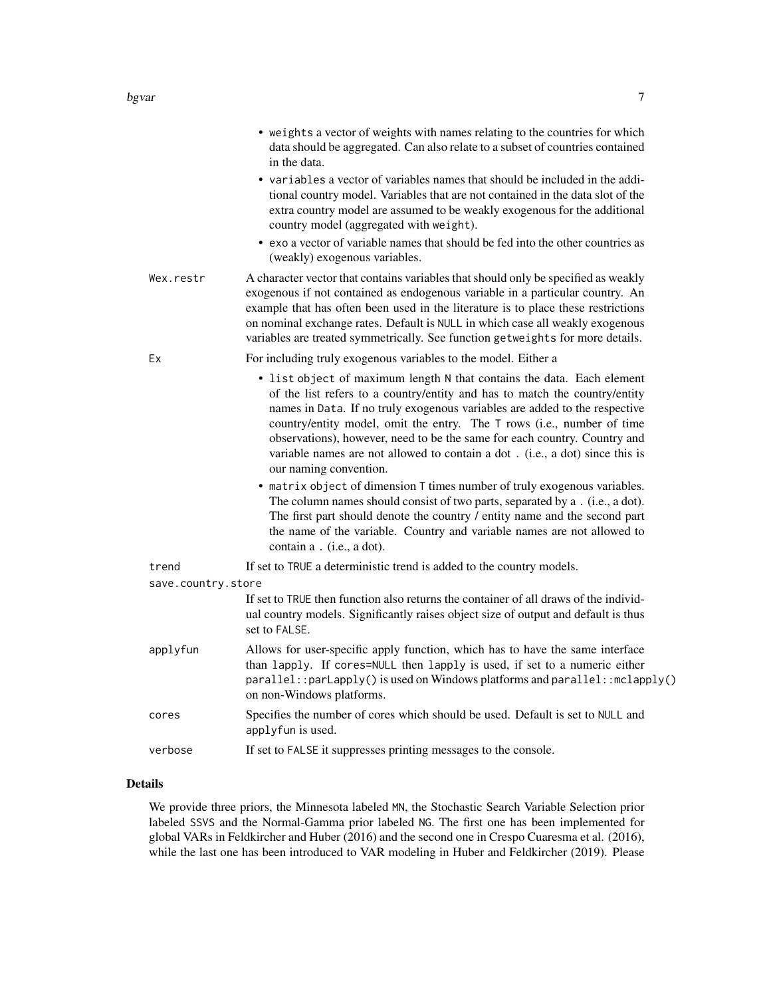|                    | • weights a vector of weights with names relating to the countries for which<br>data should be aggregated. Can also relate to a subset of countries contained<br>in the data.                                                                                                                                                                                                                                                                                                                                                                                                                                                                                                                                                                                                                                                                            |
|--------------------|----------------------------------------------------------------------------------------------------------------------------------------------------------------------------------------------------------------------------------------------------------------------------------------------------------------------------------------------------------------------------------------------------------------------------------------------------------------------------------------------------------------------------------------------------------------------------------------------------------------------------------------------------------------------------------------------------------------------------------------------------------------------------------------------------------------------------------------------------------|
|                    | • variables a vector of variables names that should be included in the addi-<br>tional country model. Variables that are not contained in the data slot of the<br>extra country model are assumed to be weakly exogenous for the additional<br>country model (aggregated with weight).                                                                                                                                                                                                                                                                                                                                                                                                                                                                                                                                                                   |
|                    | • exo a vector of variable names that should be fed into the other countries as<br>(weakly) exogenous variables.                                                                                                                                                                                                                                                                                                                                                                                                                                                                                                                                                                                                                                                                                                                                         |
| Wex.restr          | A character vector that contains variables that should only be specified as weakly<br>exogenous if not contained as endogenous variable in a particular country. An<br>example that has often been used in the literature is to place these restrictions<br>on nominal exchange rates. Default is NULL in which case all weakly exogenous<br>variables are treated symmetrically. See function getweights for more details.                                                                                                                                                                                                                                                                                                                                                                                                                              |
| Ex                 | For including truly exogenous variables to the model. Either a                                                                                                                                                                                                                                                                                                                                                                                                                                                                                                                                                                                                                                                                                                                                                                                           |
|                    | • list object of maximum length N that contains the data. Each element<br>of the list refers to a country/entity and has to match the country/entity<br>names in Data. If no truly exogenous variables are added to the respective<br>country/entity model, omit the entry. The T rows (i.e., number of time<br>observations), however, need to be the same for each country. Country and<br>variable names are not allowed to contain a dot. (i.e., a dot) since this is<br>our naming convention.<br>• matrix object of dimension T times number of truly exogenous variables.<br>The column names should consist of two parts, separated by a . (i.e., a dot).<br>The first part should denote the country / entity name and the second part<br>the name of the variable. Country and variable names are not allowed to<br>contain a . (i.e., a dot). |
| trend              | If set to TRUE a deterministic trend is added to the country models.                                                                                                                                                                                                                                                                                                                                                                                                                                                                                                                                                                                                                                                                                                                                                                                     |
| save.country.store |                                                                                                                                                                                                                                                                                                                                                                                                                                                                                                                                                                                                                                                                                                                                                                                                                                                          |
|                    | If set to TRUE then function also returns the container of all draws of the individ-<br>ual country models. Significantly raises object size of output and default is thus<br>set to FALSE.                                                                                                                                                                                                                                                                                                                                                                                                                                                                                                                                                                                                                                                              |
| applyfun           | Allows for user-specific apply function, which has to have the same interface<br>than lapply. If cores=NULL then lapply is used, if set to a numeric either<br>parallel::parLapply() is used on Windows platforms and parallel::mclapply()<br>on non-Windows platforms.                                                                                                                                                                                                                                                                                                                                                                                                                                                                                                                                                                                  |
| cores              | Specifies the number of cores which should be used. Default is set to NULL and<br>applyfun is used.                                                                                                                                                                                                                                                                                                                                                                                                                                                                                                                                                                                                                                                                                                                                                      |
| verbose            | If set to FALSE it suppresses printing messages to the console.                                                                                                                                                                                                                                                                                                                                                                                                                                                                                                                                                                                                                                                                                                                                                                                          |

#### Details

We provide three priors, the Minnesota labeled MN, the Stochastic Search Variable Selection prior labeled SSVS and the Normal-Gamma prior labeled NG. The first one has been implemented for global VARs in Feldkircher and Huber (2016) and the second one in Crespo Cuaresma et al. (2016), while the last one has been introduced to VAR modeling in Huber and Feldkircher (2019). Please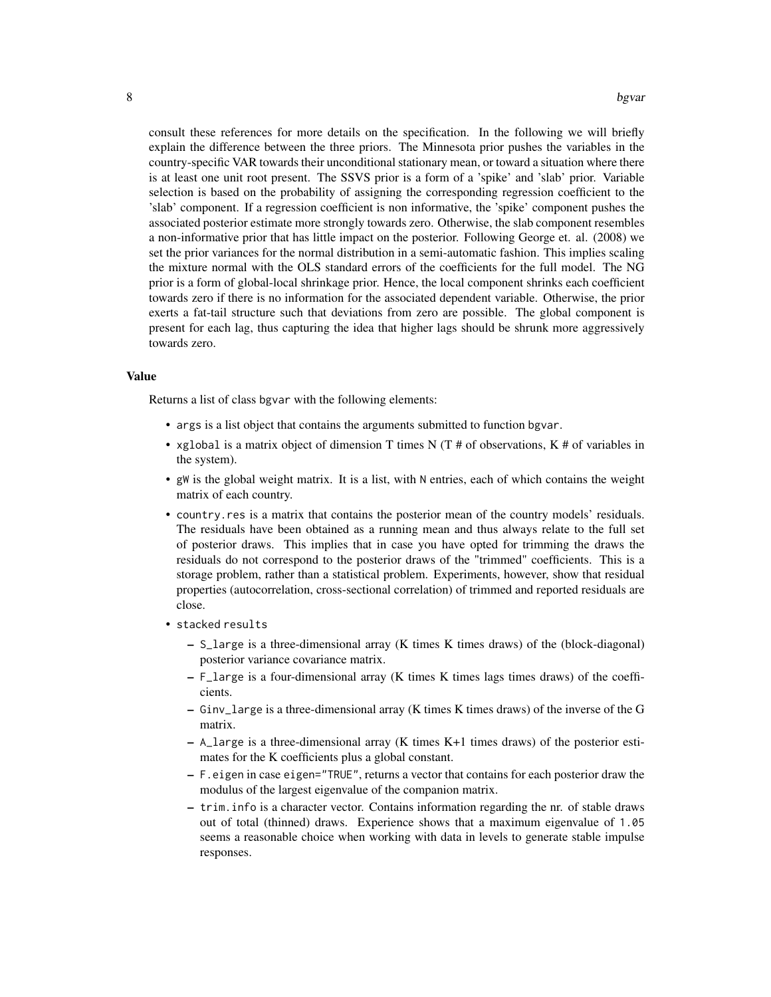consult these references for more details on the specification. In the following we will briefly explain the difference between the three priors. The Minnesota prior pushes the variables in the country-specific VAR towards their unconditional stationary mean, or toward a situation where there is at least one unit root present. The SSVS prior is a form of a 'spike' and 'slab' prior. Variable selection is based on the probability of assigning the corresponding regression coefficient to the 'slab' component. If a regression coefficient is non informative, the 'spike' component pushes the associated posterior estimate more strongly towards zero. Otherwise, the slab component resembles a non-informative prior that has little impact on the posterior. Following George et. al. (2008) we set the prior variances for the normal distribution in a semi-automatic fashion. This implies scaling the mixture normal with the OLS standard errors of the coefficients for the full model. The NG prior is a form of global-local shrinkage prior. Hence, the local component shrinks each coefficient towards zero if there is no information for the associated dependent variable. Otherwise, the prior exerts a fat-tail structure such that deviations from zero are possible. The global component is present for each lag, thus capturing the idea that higher lags should be shrunk more aggressively towards zero.

#### Value

Returns a list of class bgvar with the following elements:

- args is a list object that contains the arguments submitted to function bgvar.
- xglobal is a matrix object of dimension T times N  $(T \# \text{ of observations}, K \# \text{ of variables in})$ the system).
- gW is the global weight matrix. It is a list, with N entries, each of which contains the weight matrix of each country.
- country.res is a matrix that contains the posterior mean of the country models' residuals. The residuals have been obtained as a running mean and thus always relate to the full set of posterior draws. This implies that in case you have opted for trimming the draws the residuals do not correspond to the posterior draws of the "trimmed" coefficients. This is a storage problem, rather than a statistical problem. Experiments, however, show that residual properties (autocorrelation, cross-sectional correlation) of trimmed and reported residuals are close.
- stacked results
	- S\_large is a three-dimensional array (K times K times draws) of the (block-diagonal) posterior variance covariance matrix.
	- F\_large is a four-dimensional array (K times K times lags times draws) of the coefficients.
	- Ginv\_large is a three-dimensional array (K times K times draws) of the inverse of the G matrix.
	- $-$  A\_large is a three-dimensional array (K times K+1 times draws) of the posterior estimates for the K coefficients plus a global constant.
	- F.eigen in case eigen="TRUE", returns a vector that contains for each posterior draw the modulus of the largest eigenvalue of the companion matrix.
	- trim.info is a character vector. Contains information regarding the nr. of stable draws out of total (thinned) draws. Experience shows that a maximum eigenvalue of 1.05 seems a reasonable choice when working with data in levels to generate stable impulse responses.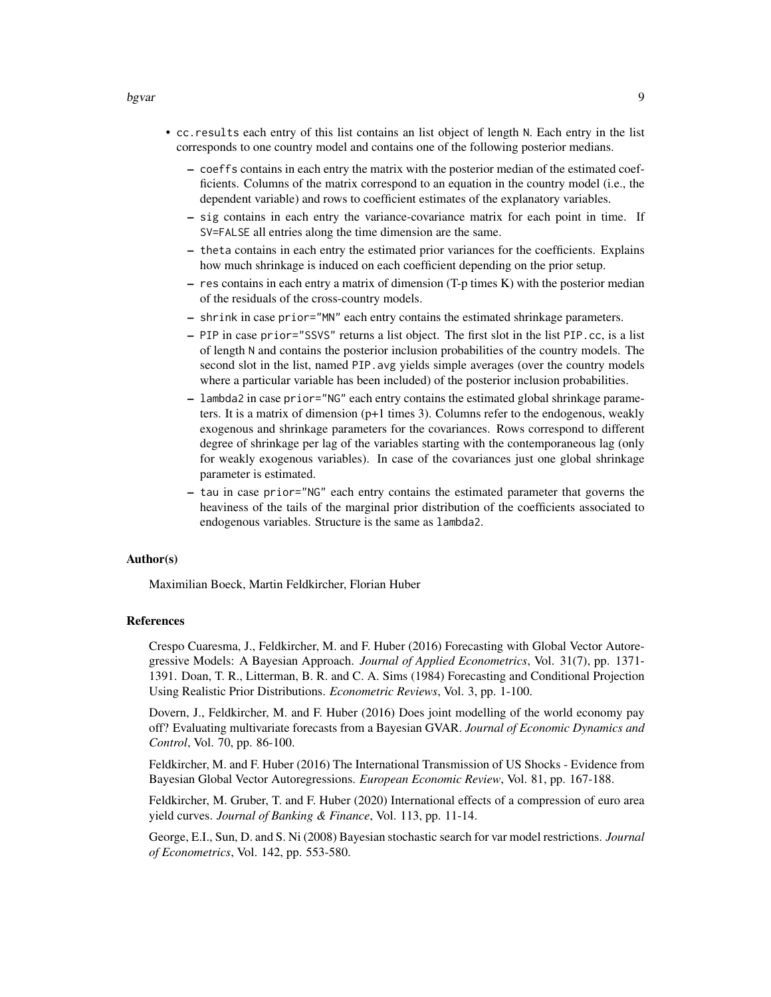#### bgvar 9

- cc.results each entry of this list contains an list object of length N. Each entry in the list corresponds to one country model and contains one of the following posterior medians.
	- coeffs contains in each entry the matrix with the posterior median of the estimated coefficients. Columns of the matrix correspond to an equation in the country model (i.e., the dependent variable) and rows to coefficient estimates of the explanatory variables.
	- sig contains in each entry the variance-covariance matrix for each point in time. If SV=FALSE all entries along the time dimension are the same.
	- theta contains in each entry the estimated prior variances for the coefficients. Explains how much shrinkage is induced on each coefficient depending on the prior setup.
	- res contains in each entry a matrix of dimension (T-p times K) with the posterior median of the residuals of the cross-country models.
	- shrink in case prior="MN" each entry contains the estimated shrinkage parameters.
	- PIP in case prior="SSVS" returns a list object. The first slot in the list PIP.cc, is a list of length N and contains the posterior inclusion probabilities of the country models. The second slot in the list, named PIP. avg yields simple averages (over the country models where a particular variable has been included) of the posterior inclusion probabilities.
	- lambda2 in case prior="NG" each entry contains the estimated global shrinkage parameters. It is a matrix of dimension (p+1 times 3). Columns refer to the endogenous, weakly exogenous and shrinkage parameters for the covariances. Rows correspond to different degree of shrinkage per lag of the variables starting with the contemporaneous lag (only for weakly exogenous variables). In case of the covariances just one global shrinkage parameter is estimated.
	- tau in case prior="NG" each entry contains the estimated parameter that governs the heaviness of the tails of the marginal prior distribution of the coefficients associated to endogenous variables. Structure is the same as lambda2.

#### Author(s)

Maximilian Boeck, Martin Feldkircher, Florian Huber

#### References

Crespo Cuaresma, J., Feldkircher, M. and F. Huber (2016) Forecasting with Global Vector Autoregressive Models: A Bayesian Approach. *Journal of Applied Econometrics*, Vol. 31(7), pp. 1371- 1391. Doan, T. R., Litterman, B. R. and C. A. Sims (1984) Forecasting and Conditional Projection Using Realistic Prior Distributions. *Econometric Reviews*, Vol. 3, pp. 1-100.

Dovern, J., Feldkircher, M. and F. Huber (2016) Does joint modelling of the world economy pay off? Evaluating multivariate forecasts from a Bayesian GVAR. *Journal of Economic Dynamics and Control*, Vol. 70, pp. 86-100.

Feldkircher, M. and F. Huber (2016) The International Transmission of US Shocks - Evidence from Bayesian Global Vector Autoregressions. *European Economic Review*, Vol. 81, pp. 167-188.

Feldkircher, M. Gruber, T. and F. Huber (2020) International effects of a compression of euro area yield curves. *Journal of Banking & Finance*, Vol. 113, pp. 11-14.

George, E.I., Sun, D. and S. Ni (2008) Bayesian stochastic search for var model restrictions. *Journal of Econometrics*, Vol. 142, pp. 553-580.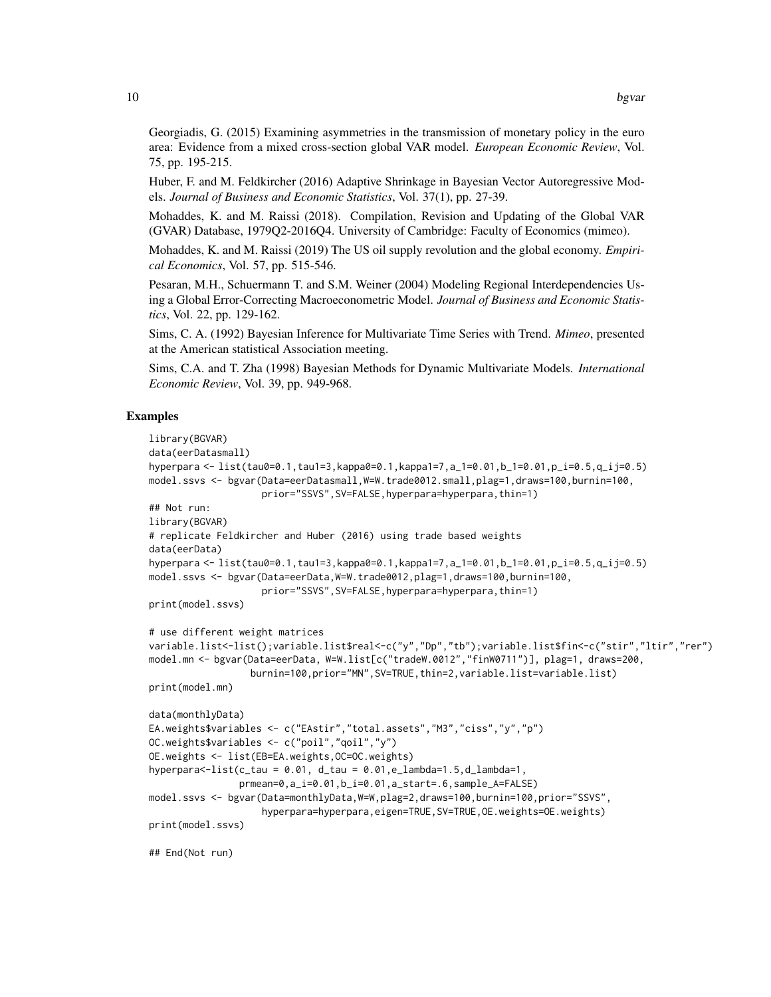Georgiadis, G. (2015) Examining asymmetries in the transmission of monetary policy in the euro area: Evidence from a mixed cross-section global VAR model. *European Economic Review*, Vol. 75, pp. 195-215.

Huber, F. and M. Feldkircher (2016) Adaptive Shrinkage in Bayesian Vector Autoregressive Models. *Journal of Business and Economic Statistics*, Vol. 37(1), pp. 27-39.

Mohaddes, K. and M. Raissi (2018). Compilation, Revision and Updating of the Global VAR (GVAR) Database, 1979Q2-2016Q4. University of Cambridge: Faculty of Economics (mimeo).

Mohaddes, K. and M. Raissi (2019) The US oil supply revolution and the global economy. *Empirical Economics*, Vol. 57, pp. 515-546.

Pesaran, M.H., Schuermann T. and S.M. Weiner (2004) Modeling Regional Interdependencies Using a Global Error-Correcting Macroeconometric Model. *Journal of Business and Economic Statistics*, Vol. 22, pp. 129-162.

Sims, C. A. (1992) Bayesian Inference for Multivariate Time Series with Trend. *Mimeo*, presented at the American statistical Association meeting.

Sims, C.A. and T. Zha (1998) Bayesian Methods for Dynamic Multivariate Models. *International Economic Review*, Vol. 39, pp. 949-968.

#### Examples

```
library(BGVAR)
data(eerDatasmall)
hyperpara <- list(tau0=0.1,tau1=3,kappa0=0.1,kappa1=7,a_1=0.01,b_1=0.01,p_i=0.5,q_ij=0.5)
model.ssvs <- bgvar(Data=eerDatasmall,W=W.trade0012.small,plag=1,draws=100,burnin=100,
                    prior="SSVS",SV=FALSE,hyperpara=hyperpara,thin=1)
## Not run:
library(BGVAR)
# replicate Feldkircher and Huber (2016) using trade based weights
data(eerData)
hyperpara <- list(tau0=0.1,tau1=3,kappa0=0.1,kappa1=7,a_1=0.01,b_1=0.01,p_i=0.5,q_ij=0.5)
model.ssvs <- bgvar(Data=eerData,W=W.trade0012,plag=1,draws=100,burnin=100,
                    prior="SSVS",SV=FALSE,hyperpara=hyperpara,thin=1)
print(model.ssvs)
# use different weight matrices
variable.list<-list();variable.list$real<-c("y","Dp","tb");variable.list$fin<-c("stir","ltir","rer")
model.mn <- bgvar(Data=eerData, W=W.list[c("tradeW.0012","finW0711")], plag=1, draws=200,
                  burnin=100,prior="MN",SV=TRUE,thin=2,variable.list=variable.list)
print(model.mn)
data(monthlyData)
EA.weights$variables <- c("EAstir","total.assets","M3","ciss","y","p")
OC.weights$variables <- c("poil","qoil","y")
OE.weights <- list(EB=EA.weights,OC=OC.weights)
hyperpara\leq -list(c_tau = 0.01, d_tau = 0.01,e_lambda=1.5,d_lambda=1,
                prmean=0,a_i=0.01,b_i=0.01,a_start=.6,sample_A=FALSE)
model.ssvs <- bgvar(Data=monthlyData,W=W,plag=2,draws=100,burnin=100,prior="SSVS",
                    hyperpara=hyperpara,eigen=TRUE,SV=TRUE,OE.weights=OE.weights)
print(model.ssvs)
## End(Not run)
```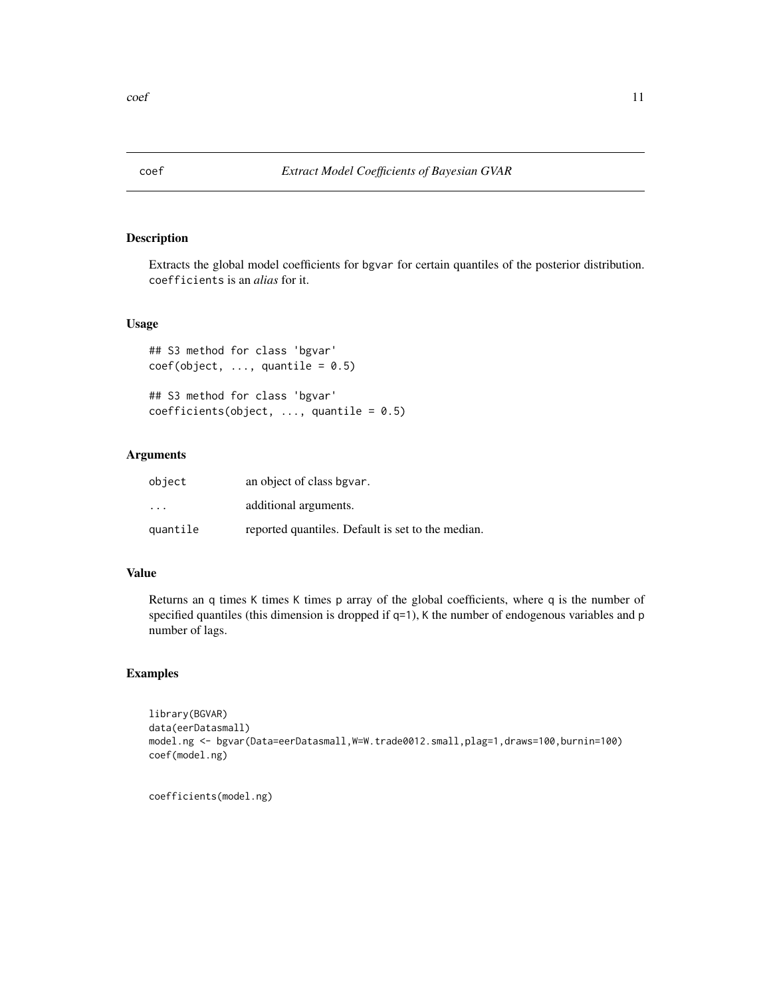<span id="page-10-0"></span>

#### Description

Extracts the global model coefficients for bgvar for certain quantiles of the posterior distribution. coefficients is an *alias* for it.

#### Usage

```
## S3 method for class 'bgvar'
coef(object, ..., quantile = 0.5)## S3 method for class 'bgvar'
```
 $coefficients(object, ..., quantile = 0.5)$ 

#### Arguments

| object                  | an object of class bgvar.                         |
|-------------------------|---------------------------------------------------|
| $\cdot$ $\cdot$ $\cdot$ | additional arguments.                             |
| quantile                | reported quantiles. Default is set to the median. |

#### Value

Returns an q times K times K times p array of the global coefficients, where q is the number of specified quantiles (this dimension is dropped if q=1), K the number of endogenous variables and p number of lags.

#### Examples

```
library(BGVAR)
data(eerDatasmall)
model.ng <- bgvar(Data=eerDatasmall,W=W.trade0012.small,plag=1,draws=100,burnin=100)
coef(model.ng)
```
coefficients(model.ng)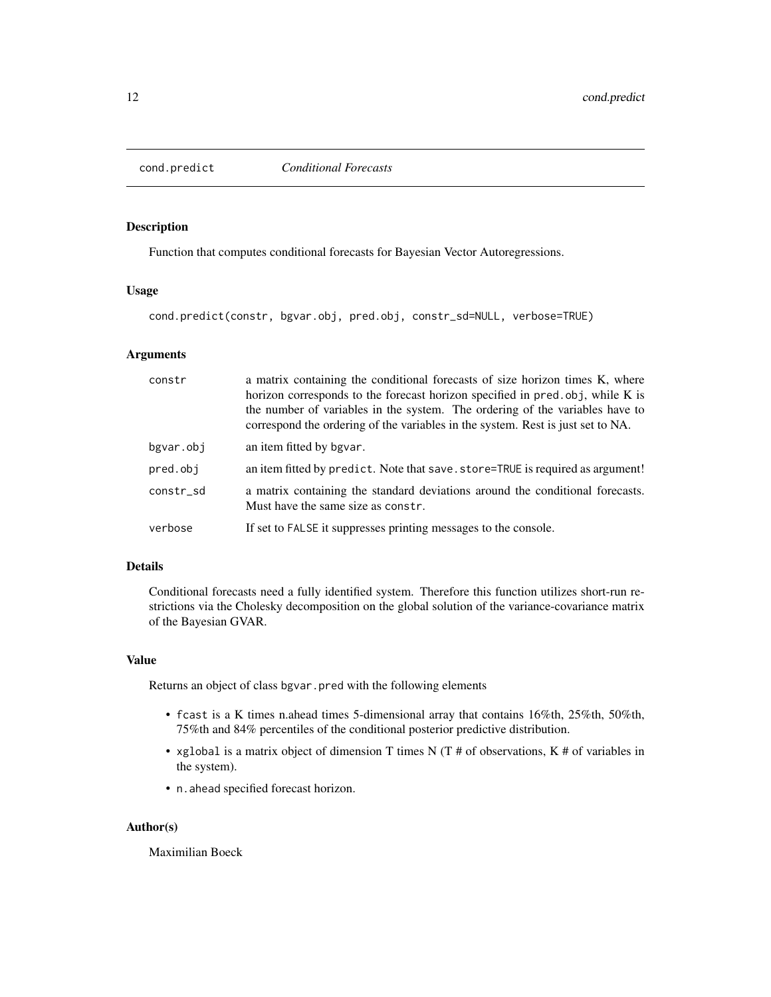<span id="page-11-0"></span>

#### Description

Function that computes conditional forecasts for Bayesian Vector Autoregressions.

#### Usage

cond.predict(constr, bgvar.obj, pred.obj, constr\_sd=NULL, verbose=TRUE)

#### Arguments

| constr    | a matrix containing the conditional forecasts of size horizon times K, where<br>horizon corresponds to the forecast horizon specified in pred.obj, while K is<br>the number of variables in the system. The ordering of the variables have to<br>correspond the ordering of the variables in the system. Rest is just set to NA. |
|-----------|----------------------------------------------------------------------------------------------------------------------------------------------------------------------------------------------------------------------------------------------------------------------------------------------------------------------------------|
| bgvar.obj | an item fitted by bgvar.                                                                                                                                                                                                                                                                                                         |
| pred.obj  | an item fitted by predict. Note that save. store=TRUE is required as argument!                                                                                                                                                                                                                                                   |
| constr_sd | a matrix containing the standard deviations around the conditional forecasts.<br>Must have the same size as constr.                                                                                                                                                                                                              |
| verbose   | If set to FALSE it suppresses printing messages to the console.                                                                                                                                                                                                                                                                  |

#### Details

Conditional forecasts need a fully identified system. Therefore this function utilizes short-run restrictions via the Cholesky decomposition on the global solution of the variance-covariance matrix of the Bayesian GVAR.

#### Value

Returns an object of class bgvar.pred with the following elements

- fcast is a K times n.ahead times 5-dimensional array that contains 16%th, 25%th, 50%th, 75%th and 84% percentiles of the conditional posterior predictive distribution.
- xglobal is a matrix object of dimension T times N (T # of observations, K # of variables in the system).
- n.ahead specified forecast horizon.

#### Author(s)

Maximilian Boeck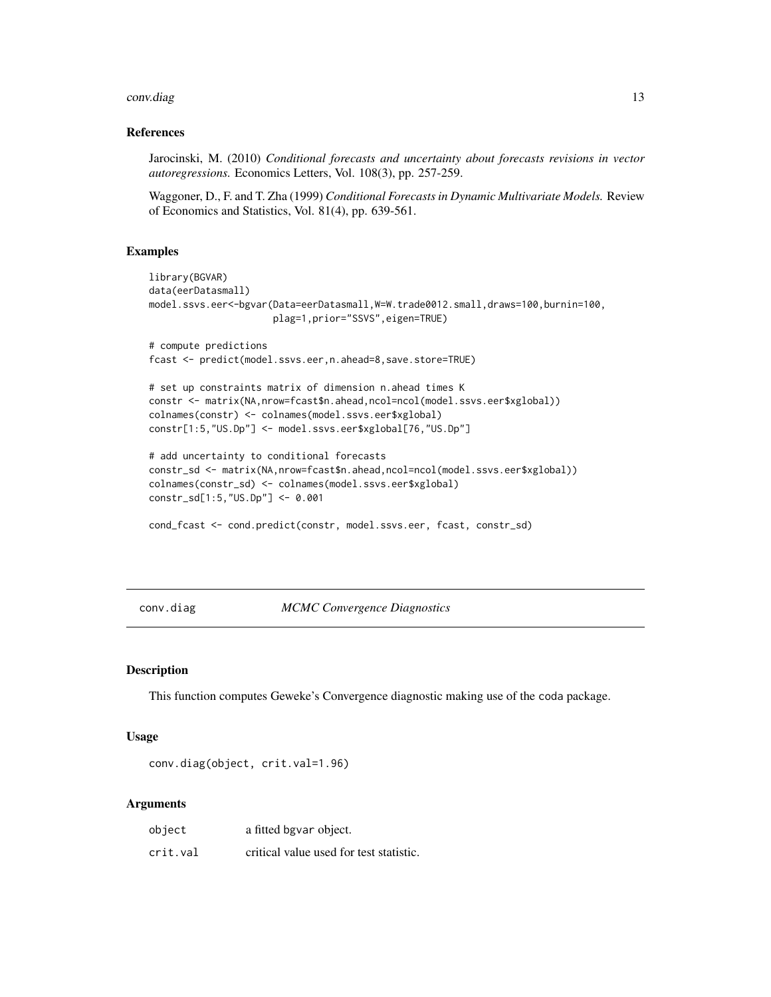#### <span id="page-12-0"></span>conv.diag 2012 13 and 2012 13 and 2012 13 and 2012 13 and 2012 13 and 2012 13 and 2012 13 and 2012 13 and 2013

#### References

Jarocinski, M. (2010) *Conditional forecasts and uncertainty about forecasts revisions in vector autoregressions.* Economics Letters, Vol. 108(3), pp. 257-259.

Waggoner, D., F. and T. Zha (1999) *Conditional Forecasts in Dynamic Multivariate Models.* Review of Economics and Statistics, Vol. 81(4), pp. 639-561.

#### Examples

```
library(BGVAR)
data(eerDatasmall)
model.ssvs.eer<-bgvar(Data=eerDatasmall,W=W.trade0012.small,draws=100,burnin=100,
                      plag=1,prior="SSVS",eigen=TRUE)
# compute predictions
fcast <- predict(model.ssvs.eer,n.ahead=8,save.store=TRUE)
# set up constraints matrix of dimension n.ahead times K
constr <- matrix(NA,nrow=fcast$n.ahead,ncol=ncol(model.ssvs.eer$xglobal))
colnames(constr) <- colnames(model.ssvs.eer$xglobal)
constr[1:5,"US.Dp"] <- model.ssvs.eer$xglobal[76,"US.Dp"]
# add uncertainty to conditional forecasts
constr_sd <- matrix(NA,nrow=fcast$n.ahead,ncol=ncol(model.ssvs.eer$xglobal))
colnames(constr_sd) <- colnames(model.ssvs.eer$xglobal)
constr_sd[1:5,"US.Dp"] <- 0.001
```

```
cond_fcast <- cond.predict(constr, model.ssvs.eer, fcast, constr_sd)
```
conv.diag *MCMC Convergence Diagnostics*

#### Description

This function computes Geweke's Convergence diagnostic making use of the coda package.

#### Usage

conv.diag(object, crit.val=1.96)

#### Arguments

| object   | a fitted bgvar object.                  |
|----------|-----------------------------------------|
| crit.val | critical value used for test statistic. |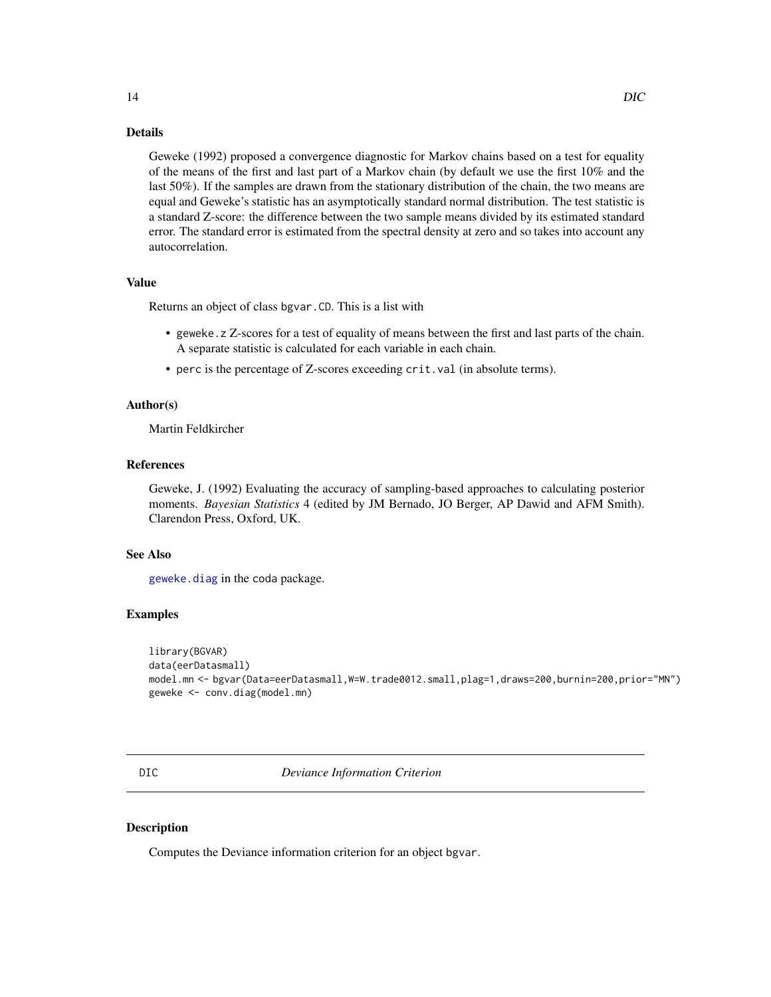#### <span id="page-13-0"></span>Details

Geweke (1992) proposed a convergence diagnostic for Markov chains based on a test for equality of the means of the first and last part of a Markov chain (by default we use the first 10% and the last 50%). If the samples are drawn from the stationary distribution of the chain, the two means are equal and Geweke's statistic has an asymptotically standard normal distribution. The test statistic is a standard Z-score: the difference between the two sample means divided by its estimated standard error. The standard error is estimated from the spectral density at zero and so takes into account any autocorrelation.

#### Value

Returns an object of class bgvar.CD. This is a list with

- geweke.z Z-scores for a test of equality of means between the first and last parts of the chain. A separate statistic is calculated for each variable in each chain.
- perc is the percentage of Z-scores exceeding crit.val (in absolute terms).

#### Author(s)

Martin Feldkircher

#### References

Geweke, J. (1992) Evaluating the accuracy of sampling-based approaches to calculating posterior moments. *Bayesian Statistics* 4 (edited by JM Bernado, JO Berger, AP Dawid and AFM Smith). Clarendon Press, Oxford, UK.

#### See Also

[geweke.diag](#page-0-0) in the coda package.

#### Examples

```
library(BGVAR)
data(eerDatasmall)
model.mn <- bgvar(Data=eerDatasmall,W=W.trade0012.small,plag=1,draws=200,burnin=200,prior="MN")
geweke <- conv.diag(model.mn)
```
DIC *Deviance Information Criterion*

#### Description

Computes the Deviance information criterion for an object bgvar.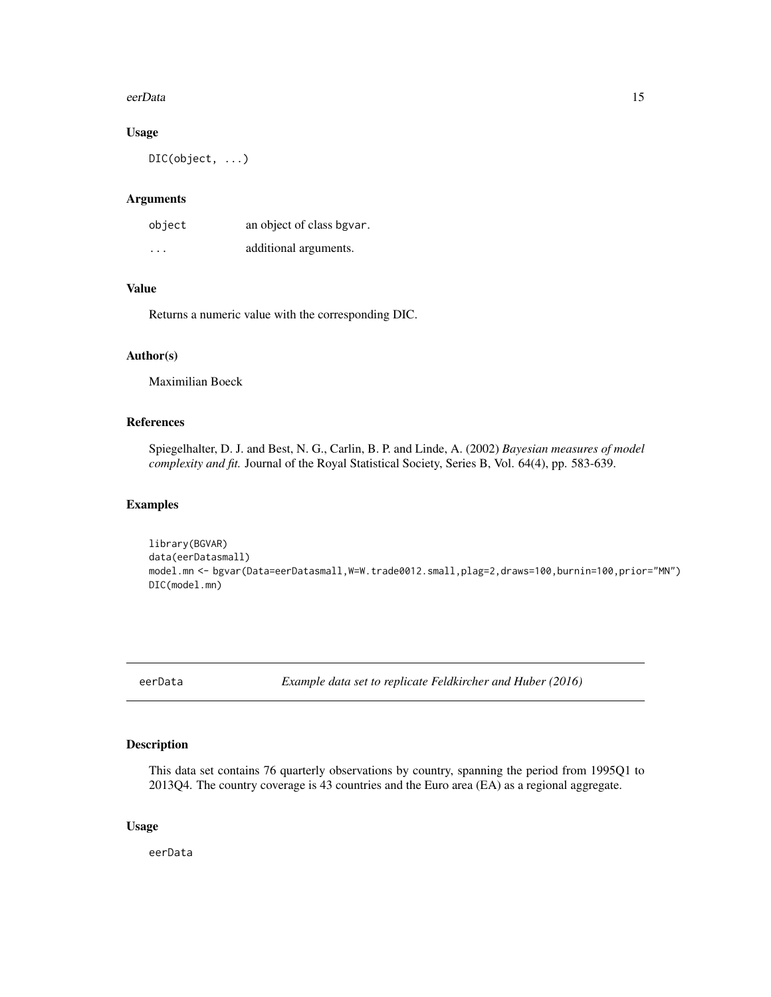#### <span id="page-14-0"></span>eerData 15

#### Usage

DIC(object, ...)

#### Arguments

| object                  | an object of class bgvar. |
|-------------------------|---------------------------|
| $\cdot$ $\cdot$ $\cdot$ | additional arguments.     |

#### Value

Returns a numeric value with the corresponding DIC.

#### Author(s)

Maximilian Boeck

#### References

Spiegelhalter, D. J. and Best, N. G., Carlin, B. P. and Linde, A. (2002) *Bayesian measures of model complexity and fit.* Journal of the Royal Statistical Society, Series B, Vol. 64(4), pp. 583-639.

#### Examples

```
library(BGVAR)
data(eerDatasmall)
model.mn <- bgvar(Data=eerDatasmall,W=W.trade0012.small,plag=2,draws=100,burnin=100,prior="MN")
DIC(model.mn)
```
eerData *Example data set to replicate Feldkircher and Huber (2016)*

#### Description

This data set contains 76 quarterly observations by country, spanning the period from 1995Q1 to 2013Q4. The country coverage is 43 countries and the Euro area (EA) as a regional aggregate.

#### Usage

eerData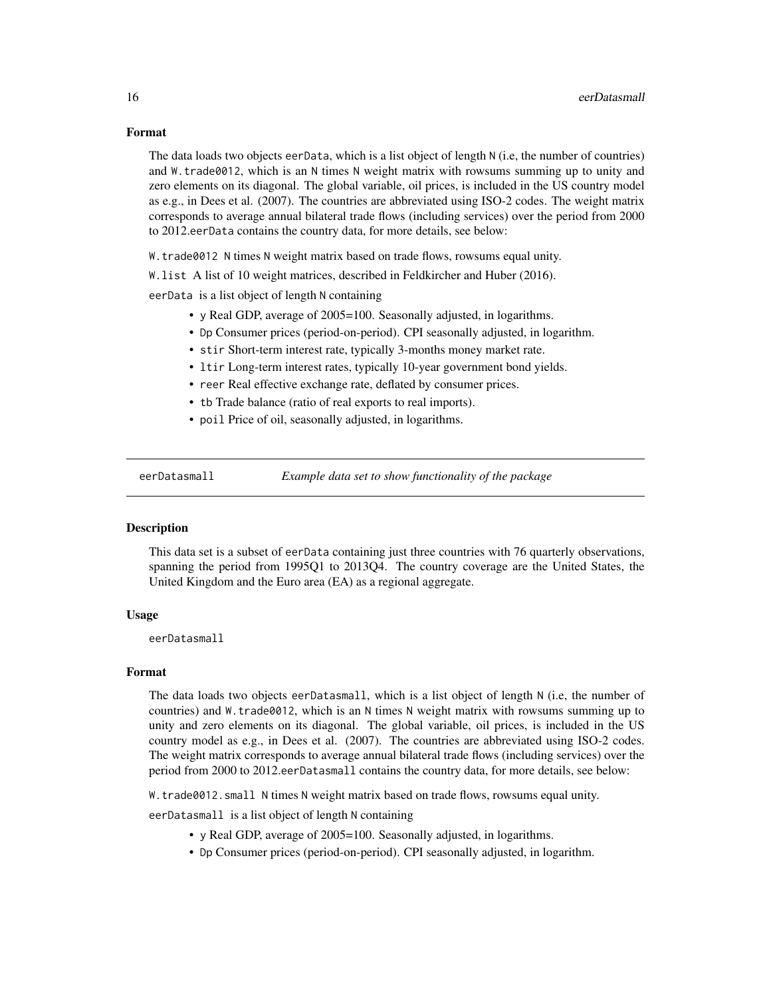#### <span id="page-15-0"></span>Format

The data loads two objects eerData, which is a list object of length N (i.e, the number of countries) and W.trade0012, which is an N times N weight matrix with rowsums summing up to unity and zero elements on its diagonal. The global variable, oil prices, is included in the US country model as e.g., in Dees et al. (2007). The countries are abbreviated using ISO-2 codes. The weight matrix corresponds to average annual bilateral trade flows (including services) over the period from 2000 to 2012.eerData contains the country data, for more details, see below:

W.trade0012 N times N weight matrix based on trade flows, rowsums equal unity.

W.list A list of 10 weight matrices, described in Feldkircher and Huber (2016).

eerData is a list object of length N containing

- y Real GDP, average of 2005=100. Seasonally adjusted, in logarithms.
- Dp Consumer prices (period-on-period). CPI seasonally adjusted, in logarithm.
- stir Short-term interest rate, typically 3-months money market rate.
- ltir Long-term interest rates, typically 10-year government bond yields.
- reer Real effective exchange rate, deflated by consumer prices.
- tb Trade balance (ratio of real exports to real imports).
- poil Price of oil, seasonally adjusted, in logarithms.

eerDatasmall *Example data set to show functionality of the package*

#### **Description**

This data set is a subset of eerData containing just three countries with 76 quarterly observations, spanning the period from 1995Q1 to 2013Q4. The country coverage are the United States, the United Kingdom and the Euro area (EA) as a regional aggregate.

#### Usage

eerDatasmall

#### Format

The data loads two objects eerDatasmall, which is a list object of length N (i.e, the number of countries) and W.trade0012, which is an N times N weight matrix with rowsums summing up to unity and zero elements on its diagonal. The global variable, oil prices, is included in the US country model as e.g., in Dees et al. (2007). The countries are abbreviated using ISO-2 codes. The weight matrix corresponds to average annual bilateral trade flows (including services) over the period from 2000 to 2012.eerDatasmall contains the country data, for more details, see below:

W.trade0012.small N times N weight matrix based on trade flows, rowsums equal unity.

eerDatasmall is a list object of length N containing

- y Real GDP, average of 2005=100. Seasonally adjusted, in logarithms.
- Dp Consumer prices (period-on-period). CPI seasonally adjusted, in logarithm.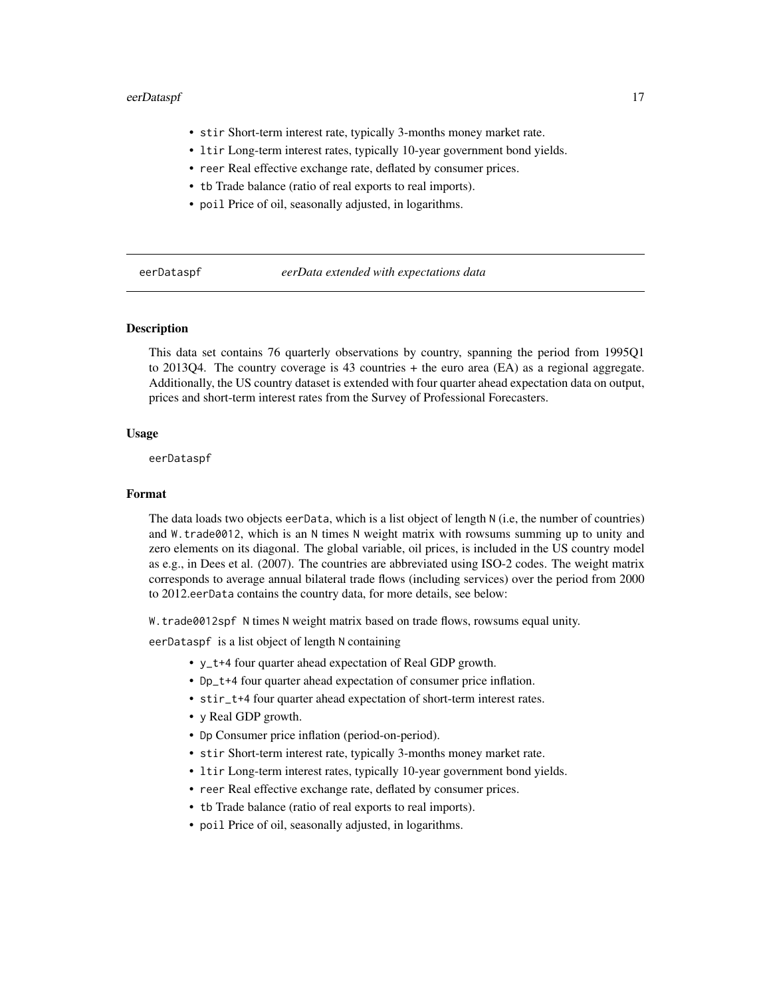#### <span id="page-16-0"></span>eerDataspf 17

- stir Short-term interest rate, typically 3-months money market rate.
- ltir Long-term interest rates, typically 10-year government bond yields.
- reer Real effective exchange rate, deflated by consumer prices.
- tb Trade balance (ratio of real exports to real imports).
- poil Price of oil, seasonally adjusted, in logarithms.

eerDataspf *eerData extended with expectations data*

#### **Description**

This data set contains 76 quarterly observations by country, spanning the period from 1995Q1 to 2013Q4. The country coverage is 43 countries + the euro area (EA) as a regional aggregate. Additionally, the US country dataset is extended with four quarter ahead expectation data on output, prices and short-term interest rates from the Survey of Professional Forecasters.

#### Usage

eerDataspf

#### Format

The data loads two objects eerData, which is a list object of length N (i.e, the number of countries) and W.trade0012, which is an N times N weight matrix with rowsums summing up to unity and zero elements on its diagonal. The global variable, oil prices, is included in the US country model as e.g., in Dees et al. (2007). The countries are abbreviated using ISO-2 codes. The weight matrix corresponds to average annual bilateral trade flows (including services) over the period from 2000 to 2012.eerData contains the country data, for more details, see below:

W.trade0012spf N times N weight matrix based on trade flows, rowsums equal unity.

eerDataspf is a list object of length N containing

- y\_t+4 four quarter ahead expectation of Real GDP growth.
- Dp\_t+4 four quarter ahead expectation of consumer price inflation.
- stir\_t+4 four quarter ahead expectation of short-term interest rates.
- y Real GDP growth.
- Dp Consumer price inflation (period-on-period).
- stir Short-term interest rate, typically 3-months money market rate.
- ltir Long-term interest rates, typically 10-year government bond yields.
- reer Real effective exchange rate, deflated by consumer prices.
- tb Trade balance (ratio of real exports to real imports).
- poil Price of oil, seasonally adjusted, in logarithms.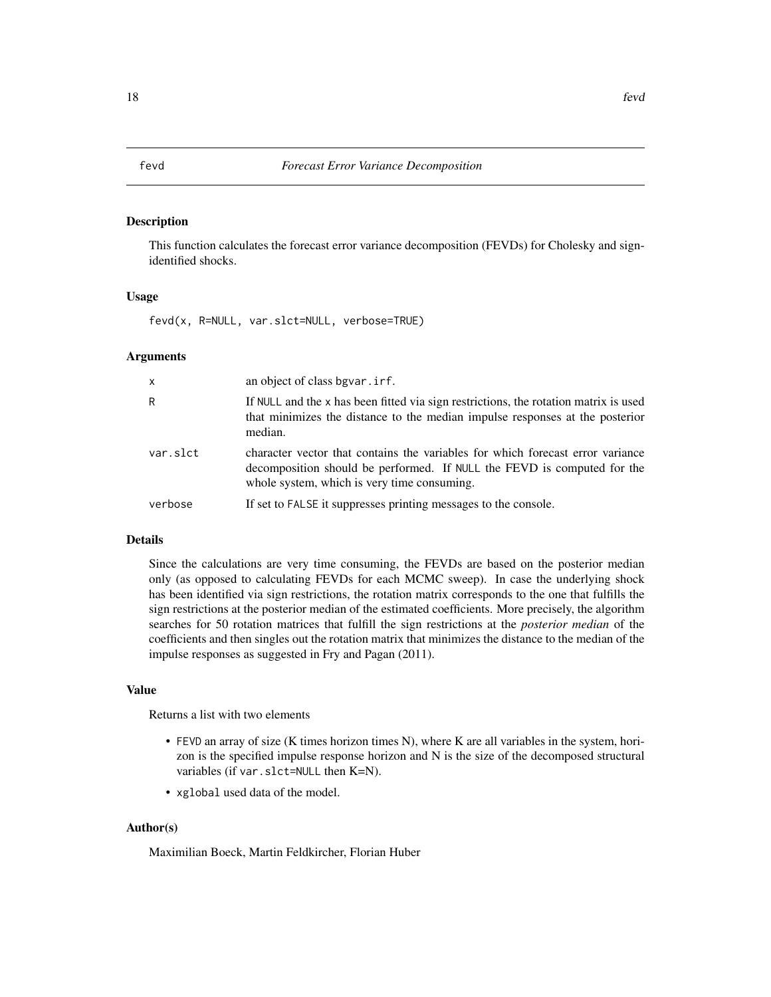#### <span id="page-17-0"></span>Description

This function calculates the forecast error variance decomposition (FEVDs) for Cholesky and signidentified shocks.

#### Usage

fevd(x, R=NULL, var.slct=NULL, verbose=TRUE)

#### Arguments

| $\mathsf{x}$ | an object of class bgvar. irf.                                                                                                                                                                           |
|--------------|----------------------------------------------------------------------------------------------------------------------------------------------------------------------------------------------------------|
| R            | If NULL and the x has been fitted via sign restrictions, the rotation matrix is used<br>that minimizes the distance to the median impulse responses at the posterior<br>median.                          |
| var.slct     | character vector that contains the variables for which forecast error variance<br>decomposition should be performed. If NULL the FEVD is computed for the<br>whole system, which is very time consuming. |
| verbose      | If set to FALSE it suppresses printing messages to the console.                                                                                                                                          |

#### Details

Since the calculations are very time consuming, the FEVDs are based on the posterior median only (as opposed to calculating FEVDs for each MCMC sweep). In case the underlying shock has been identified via sign restrictions, the rotation matrix corresponds to the one that fulfills the sign restrictions at the posterior median of the estimated coefficients. More precisely, the algorithm searches for 50 rotation matrices that fulfill the sign restrictions at the *posterior median* of the coefficients and then singles out the rotation matrix that minimizes the distance to the median of the impulse responses as suggested in Fry and Pagan (2011).

#### Value

Returns a list with two elements

- FEVD an array of size (K times horizon times N), where K are all variables in the system, horizon is the specified impulse response horizon and N is the size of the decomposed structural variables (if var.slct=NULL then K=N).
- xglobal used data of the model.

#### Author(s)

Maximilian Boeck, Martin Feldkircher, Florian Huber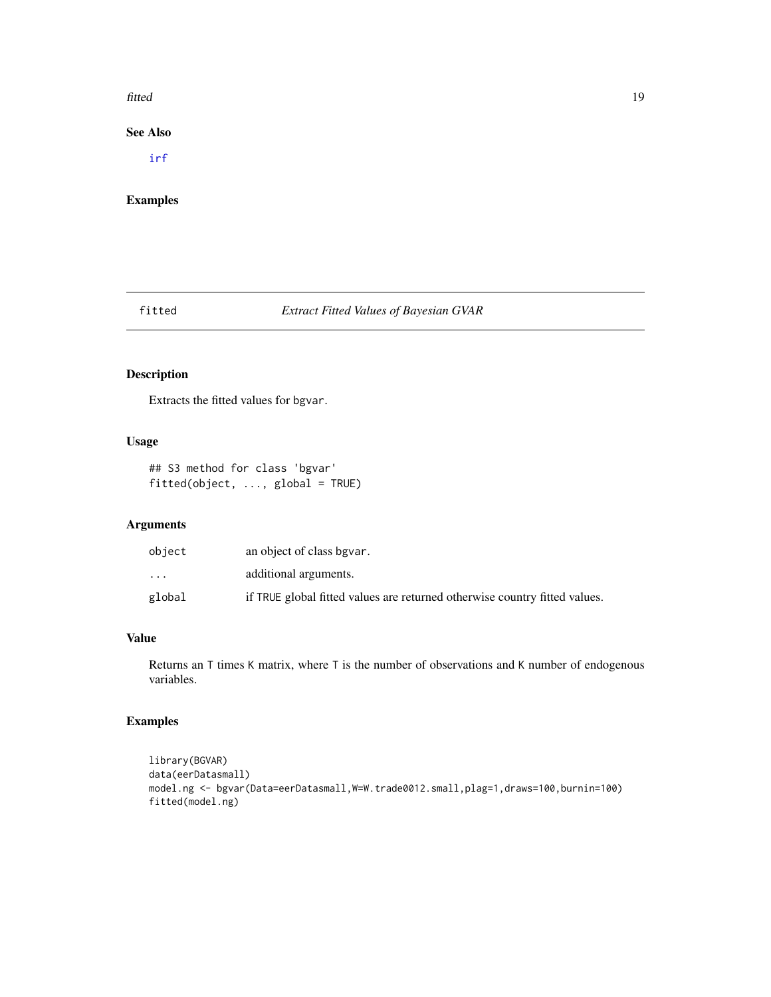#### <span id="page-18-0"></span>fitted the contract of the contract of the contract of the contract of the contract of the contract of the contract of the contract of the contract of the contract of the contract of the contract of the contract of the con

#### See Also

[irf](#page-21-1)

#### Examples

#### fitted *Extract Fitted Values of Bayesian GVAR*

### Description

Extracts the fitted values for bgvar.

#### Usage

```
## S3 method for class 'bgvar'
fitted(object, ..., global = TRUE)
```
#### Arguments

| object    | an object of class bgvar.                                                  |
|-----------|----------------------------------------------------------------------------|
| $\ddotsc$ | additional arguments.                                                      |
| global    | if TRUE global fitted values are returned otherwise country fitted values. |

#### Value

Returns an T times K matrix, where T is the number of observations and K number of endogenous variables.

#### Examples

```
library(BGVAR)
data(eerDatasmall)
model.ng <- bgvar(Data=eerDatasmall,W=W.trade0012.small,plag=1,draws=100,burnin=100)
fitted(model.ng)
```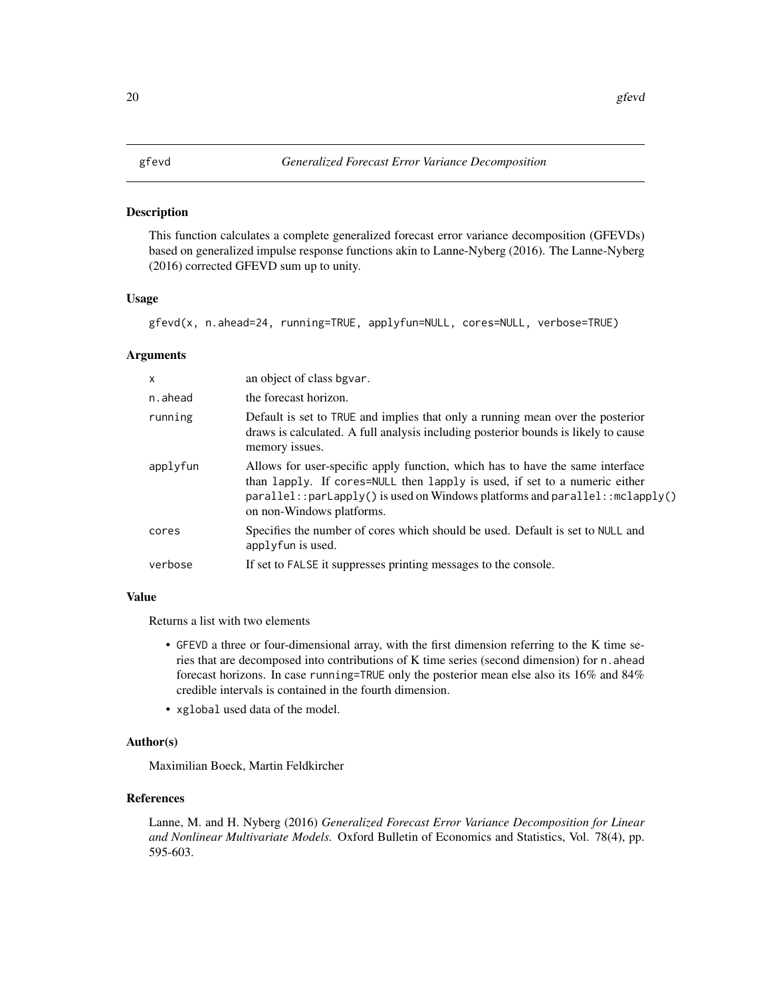#### <span id="page-19-0"></span>Description

This function calculates a complete generalized forecast error variance decomposition (GFEVDs) based on generalized impulse response functions akin to Lanne-Nyberg (2016). The Lanne-Nyberg (2016) corrected GFEVD sum up to unity.

#### Usage

gfevd(x, n.ahead=24, running=TRUE, applyfun=NULL, cores=NULL, verbose=TRUE)

#### Arguments

| X        | an object of class bgvar.                                                                                                                                                                                                                                                    |
|----------|------------------------------------------------------------------------------------------------------------------------------------------------------------------------------------------------------------------------------------------------------------------------------|
| n.ahead  | the forecast horizon.                                                                                                                                                                                                                                                        |
| running  | Default is set to TRUE and implies that only a running mean over the posterior<br>draws is calculated. A full analysis including posterior bounds is likely to cause<br>memory issues.                                                                                       |
| applyfun | Allows for user-specific apply function, which has to have the same interface<br>than lapply. If cores=NULL then lapply is used, if set to a numeric either<br>$parallel::pardisplay()$ is used on Windows platforms and $parallel::mclapply()$<br>on non-Windows platforms. |
| cores    | Specifies the number of cores which should be used. Default is set to NULL and<br>applyfun is used.                                                                                                                                                                          |
| verbose  | If set to FALSE it suppresses printing messages to the console.                                                                                                                                                                                                              |

#### Value

Returns a list with two elements

- GFEVD a three or four-dimensional array, with the first dimension referring to the K time series that are decomposed into contributions of K time series (second dimension) for n.ahead forecast horizons. In case running=TRUE only the posterior mean else also its 16% and 84% credible intervals is contained in the fourth dimension.
- xglobal used data of the model.

#### Author(s)

Maximilian Boeck, Martin Feldkircher

#### References

Lanne, M. and H. Nyberg (2016) *Generalized Forecast Error Variance Decomposition for Linear and Nonlinear Multivariate Models.* Oxford Bulletin of Economics and Statistics, Vol. 78(4), pp. 595-603.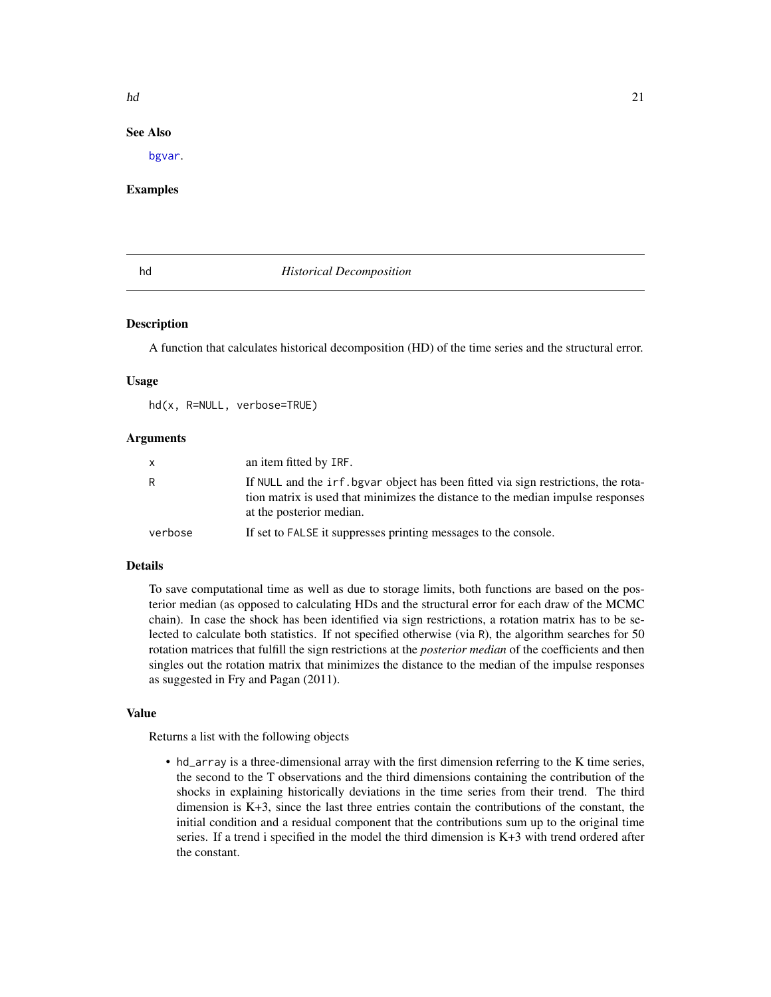#### <span id="page-20-0"></span>See Also

[bgvar](#page-3-1).

#### Examples

#### hd *Historical Decomposition*

#### Description

A function that calculates historical decomposition (HD) of the time series and the structural error.

#### Usage

hd(x, R=NULL, verbose=TRUE)

#### Arguments

| x       | an item fitted by IRF.                                                                                                                                                                            |
|---------|---------------------------------------------------------------------------------------------------------------------------------------------------------------------------------------------------|
| R       | If NULL and the irf, bgvar object has been fitted via sign restrictions, the rota-<br>tion matrix is used that minimizes the distance to the median impulse responses<br>at the posterior median. |
| verbose | If set to FALSE it suppresses printing messages to the console.                                                                                                                                   |

#### Details

To save computational time as well as due to storage limits, both functions are based on the posterior median (as opposed to calculating HDs and the structural error for each draw of the MCMC chain). In case the shock has been identified via sign restrictions, a rotation matrix has to be selected to calculate both statistics. If not specified otherwise (via R), the algorithm searches for 50 rotation matrices that fulfill the sign restrictions at the *posterior median* of the coefficients and then singles out the rotation matrix that minimizes the distance to the median of the impulse responses as suggested in Fry and Pagan (2011).

#### Value

Returns a list with the following objects

• hd\_array is a three-dimensional array with the first dimension referring to the K time series, the second to the T observations and the third dimensions containing the contribution of the shocks in explaining historically deviations in the time series from their trend. The third dimension is  $K+3$ , since the last three entries contain the contributions of the constant, the initial condition and a residual component that the contributions sum up to the original time series. If a trend i specified in the model the third dimension is K+3 with trend ordered after the constant.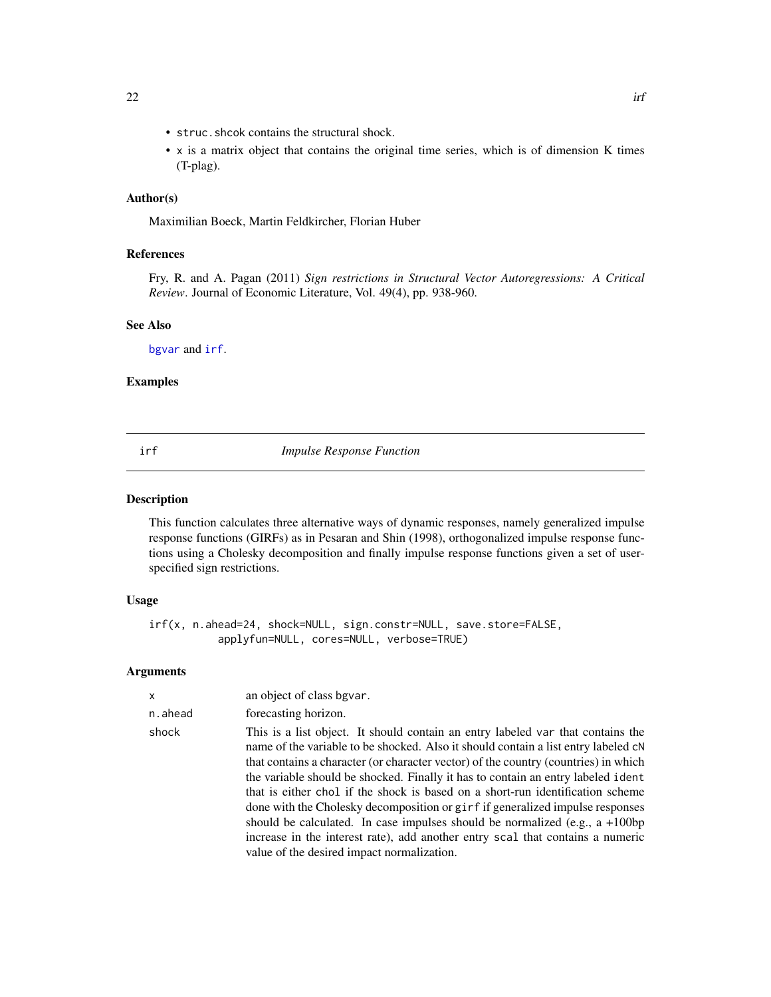- <span id="page-21-0"></span>• struc.shcok contains the structural shock.
- x is a matrix object that contains the original time series, which is of dimension K times (T-plag).

#### Author(s)

Maximilian Boeck, Martin Feldkircher, Florian Huber

#### References

Fry, R. and A. Pagan (2011) *Sign restrictions in Structural Vector Autoregressions: A Critical Review*. Journal of Economic Literature, Vol. 49(4), pp. 938-960.

#### See Also

[bgvar](#page-3-1) and [irf](#page-21-1).

#### Examples

<span id="page-21-1"></span>irf *Impulse Response Function*

#### Description

This function calculates three alternative ways of dynamic responses, namely generalized impulse response functions (GIRFs) as in Pesaran and Shin (1998), orthogonalized impulse response functions using a Cholesky decomposition and finally impulse response functions given a set of userspecified sign restrictions.

#### Usage

irf(x, n.ahead=24, shock=NULL, sign.constr=NULL, save.store=FALSE, applyfun=NULL, cores=NULL, verbose=TRUE)

#### Arguments

| $\mathsf{x}$ | an object of class bgvar.                                                                                                                                                                                                                                                                                                                                                                                                                                                                                                                                                                                                                                                                                                                 |
|--------------|-------------------------------------------------------------------------------------------------------------------------------------------------------------------------------------------------------------------------------------------------------------------------------------------------------------------------------------------------------------------------------------------------------------------------------------------------------------------------------------------------------------------------------------------------------------------------------------------------------------------------------------------------------------------------------------------------------------------------------------------|
| n.ahead      | forecasting horizon.                                                                                                                                                                                                                                                                                                                                                                                                                                                                                                                                                                                                                                                                                                                      |
| shock        | This is a list object. It should contain an entry labeled var that contains the<br>name of the variable to be shocked. Also it should contain a list entry labeled $cN$<br>that contains a character (or character vector) of the country (countries) in which<br>the variable should be shocked. Finally it has to contain an entry labeled ident<br>that is either chol if the shock is based on a short-run identification scheme<br>done with the Cholesky decomposition or girf if generalized impulse responses<br>should be calculated. In case impulses should be normalized (e.g., $a + 100bp$ )<br>increase in the interest rate), add another entry scal that contains a numeric<br>value of the desired impact normalization. |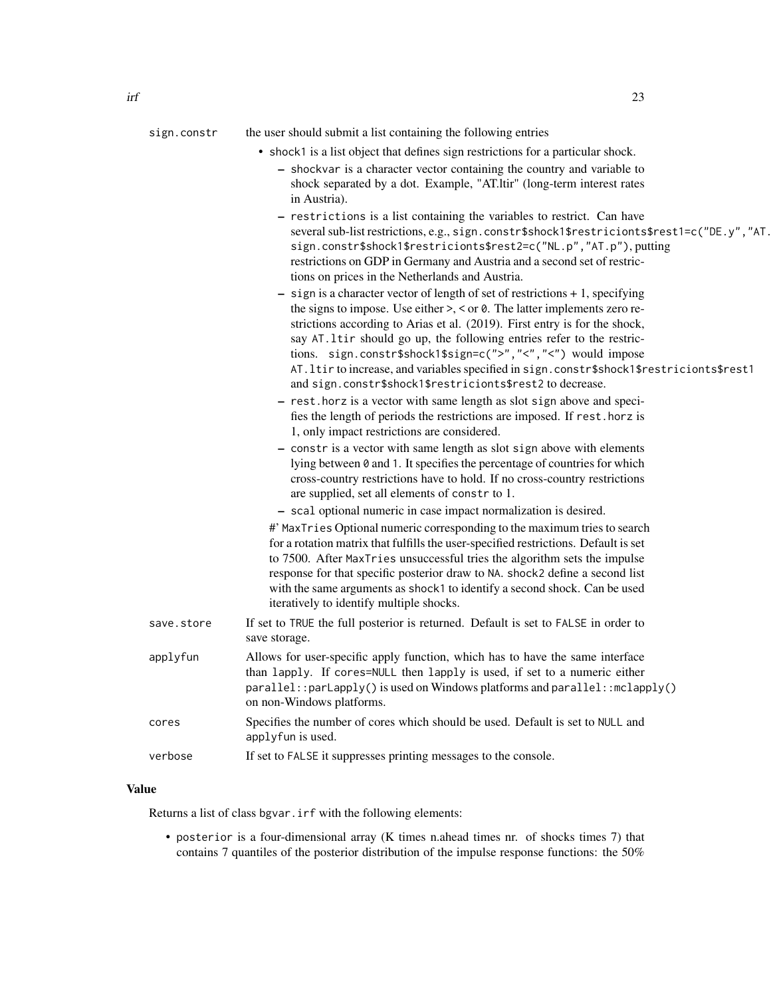|            | shock separated by a dot. Example, "AT.ltir" (long-term interest rates<br>in Austria).                                                                                                                                                                                                                                                                                                                                                                                                                                                                      |
|------------|-------------------------------------------------------------------------------------------------------------------------------------------------------------------------------------------------------------------------------------------------------------------------------------------------------------------------------------------------------------------------------------------------------------------------------------------------------------------------------------------------------------------------------------------------------------|
|            | - restrictions is a list containing the variables to restrict. Can have<br>several sub-list restrictions, e.g., sign.constr\$shock1\$restricionts\$rest1=c("DE.y","AT.<br>sign.constr\$shock1\$restricionts\$rest2=c("NL.p","AT.p"), putting<br>restrictions on GDP in Germany and Austria and a second set of restric-<br>tions on prices in the Netherlands and Austria.                                                                                                                                                                                  |
|            | $-$ sign is a character vector of length of set of restrictions $+1$ , specifying<br>the signs to impose. Use either $\geq$ , $\lt$ or 0. The latter implements zero re-<br>strictions according to Arias et al. (2019). First entry is for the shock,<br>say AT. 1tir should go up, the following entries refer to the restric-<br>tions. sign.constr\$shock1\$sign=c(">","<","<") would impose<br>AT. ltir to increase, and variables specified in sign. constr\$shock1\$restricionts\$rest1<br>and sign.constr\$shock1\$restricionts\$rest2 to decrease. |
|            | - rest. horz is a vector with same length as slot sign above and speci-<br>fies the length of periods the restrictions are imposed. If rest. horz is<br>1, only impact restrictions are considered.                                                                                                                                                                                                                                                                                                                                                         |
|            | - constr is a vector with same length as slot sign above with elements<br>lying between 0 and 1. It specifies the percentage of countries for which<br>cross-country restrictions have to hold. If no cross-country restrictions<br>are supplied, set all elements of constr to 1.<br>- scal optional numeric in case impact normalization is desired.                                                                                                                                                                                                      |
|            | #' MaxTries Optional numeric corresponding to the maximum tries to search<br>for a rotation matrix that fulfills the user-specified restrictions. Default is set<br>to 7500. After MaxTries unsuccessful tries the algorithm sets the impulse<br>response for that specific posterior draw to NA. shock2 define a second list<br>with the same arguments as shock1 to identify a second shock. Can be used<br>iteratively to identify multiple shocks.                                                                                                      |
| save.store | If set to TRUE the full posterior is returned. Default is set to FALSE in order to<br>save storage.                                                                                                                                                                                                                                                                                                                                                                                                                                                         |
| applyfun   | Allows for user-specific apply function, which has to have the same interface<br>than lapply. If cores=NULL then lapply is used, if set to a numeric either<br>parallel::parLapply() is used on Windows platforms and parallel::mclapply()<br>on non-Windows platforms.                                                                                                                                                                                                                                                                                     |
| cores      | Specifies the number of cores which should be used. Default is set to NULL and<br>applyfun is used.                                                                                                                                                                                                                                                                                                                                                                                                                                                         |
| verbose    | If set to FALSE it suppresses printing messages to the console.                                                                                                                                                                                                                                                                                                                                                                                                                                                                                             |

### Value

Returns a list of class bgvar.irf with the following elements:

• posterior is a four-dimensional array (K times n.ahead times nr. of shocks times 7) that contains 7 quantiles of the posterior distribution of the impulse response functions: the 50%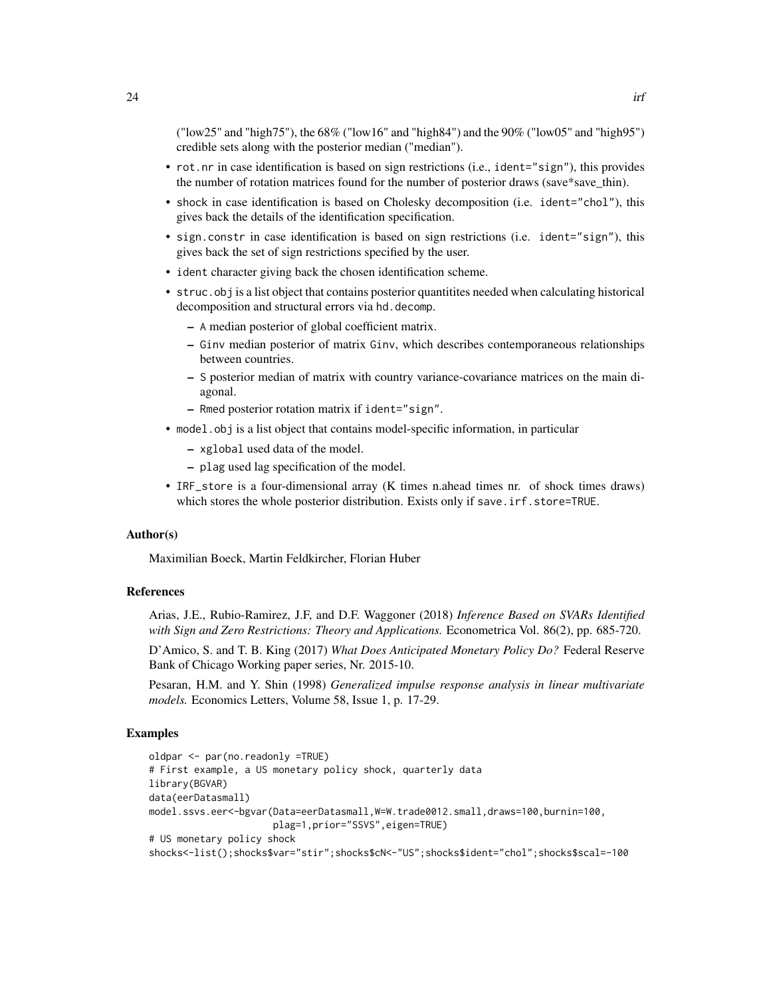("low25" and "high75"), the 68% ("low16" and "high84") and the 90% ("low05" and "high95") credible sets along with the posterior median ("median").

- rot.nr in case identification is based on sign restrictions (i.e., ident="sign"), this provides the number of rotation matrices found for the number of posterior draws (save\*save\_thin).
- shock in case identification is based on Cholesky decomposition (i.e. ident="chol"), this gives back the details of the identification specification.
- sign.constr in case identification is based on sign restrictions (i.e. ident="sign"), this gives back the set of sign restrictions specified by the user.
- ident character giving back the chosen identification scheme.
- struc.obj is a list object that contains posterior quantitites needed when calculating historical decomposition and structural errors via hd.decomp.
	- A median posterior of global coefficient matrix.
	- Ginv median posterior of matrix Ginv, which describes contemporaneous relationships between countries.
	- S posterior median of matrix with country variance-covariance matrices on the main diagonal.
	- Rmed posterior rotation matrix if ident="sign".
- model.obj is a list object that contains model-specific information, in particular
	- xglobal used data of the model.
	- plag used lag specification of the model.
- IRF\_store is a four-dimensional array (K times n.ahead times nr. of shock times draws) which stores the whole posterior distribution. Exists only if save.irf.store=TRUE.

#### Author(s)

Maximilian Boeck, Martin Feldkircher, Florian Huber

#### References

Arias, J.E., Rubio-Ramirez, J.F, and D.F. Waggoner (2018) *Inference Based on SVARs Identified with Sign and Zero Restrictions: Theory and Applications.* Econometrica Vol. 86(2), pp. 685-720.

D'Amico, S. and T. B. King (2017) *What Does Anticipated Monetary Policy Do?* Federal Reserve Bank of Chicago Working paper series, Nr. 2015-10.

Pesaran, H.M. and Y. Shin (1998) *Generalized impulse response analysis in linear multivariate models.* Economics Letters, Volume 58, Issue 1, p. 17-29.

#### Examples

```
oldpar <- par(no.readonly =TRUE)
# First example, a US monetary policy shock, quarterly data
library(BGVAR)
data(eerDatasmall)
model.ssvs.eer<-bgvar(Data=eerDatasmall,W=W.trade0012.small,draws=100,burnin=100,
                      plag=1,prior="SSVS",eigen=TRUE)
# US monetary policy shock
shocks<-list();shocks$var="stir";shocks$cN<-"US";shocks$ident="chol";shocks$scal=-100
```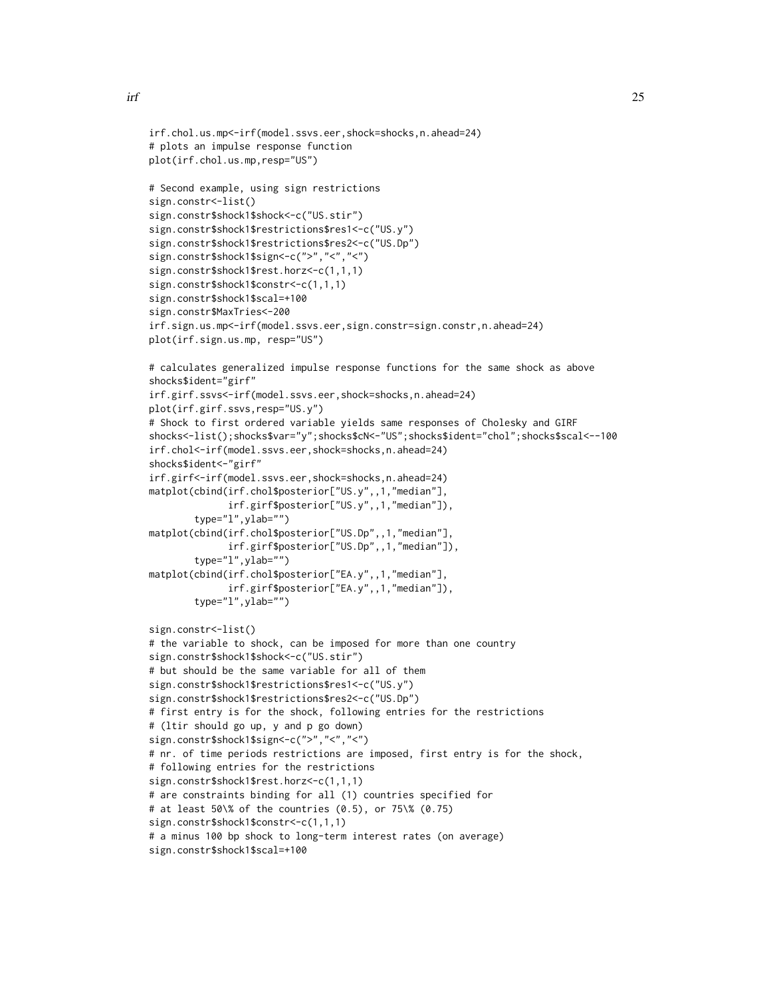```
irf.chol.us.mp<-irf(model.ssvs.eer,shock=shocks,n.ahead=24)
# plots an impulse response function
plot(irf.chol.us.mp,resp="US")
# Second example, using sign restrictions
sign.constr<-list()
sign.constr$shock1$shock<-c("US.stir")
sign.constr$shock1$restrictions$res1<-c("US.y")
sign.constr$shock1$restrictions$res2<-c("US.Dp")
sign.constr$shock1$sign<-c(">","<","<")
sign.constr$shock1$rest.horz<-c(1,1,1)
sign.constr$shock1$constr<-c(1,1,1)
sign.constr$shock1$scal=+100
sign.constr$MaxTries<-200
irf.sign.us.mp<-irf(model.ssvs.eer,sign.constr=sign.constr,n.ahead=24)
plot(irf.sign.us.mp, resp="US")
# calculates generalized impulse response functions for the same shock as above
shocks$ident="girf"
irf.girf.ssvs<-irf(model.ssvs.eer,shock=shocks,n.ahead=24)
plot(irf.girf.ssvs,resp="US.y")
# Shock to first ordered variable yields same responses of Cholesky and GIRF
shocks<-list();shocks$var="y";shocks$cN<-"US";shocks$ident="chol";shocks$scal<--100
irf.chol<-irf(model.ssvs.eer,shock=shocks,n.ahead=24)
shocks$ident<-"girf"
irf.girf<-irf(model.ssvs.eer,shock=shocks,n.ahead=24)
matplot(cbind(irf.chol$posterior["US.y",,1,"median"],
             irf.girf$posterior["US.y",,1,"median"]),
        type="l",ylab="")
matplot(cbind(irf.chol$posterior["US.Dp",,1,"median"],
              irf.girf$posterior["US.Dp",,1,"median"]),
        type="l",ylab="")
matplot(cbind(irf.chol$posterior["EA.y",,1,"median"],
              irf.girf$posterior["EA.y",,1,"median"]),
       type="l",ylab="")
sign.constr<-list()
# the variable to shock, can be imposed for more than one country
sign.constr$shock1$shock<-c("US.stir")
# but should be the same variable for all of them
sign.constr$shock1$restrictions$res1<-c("US.y")
sign.constr$shock1$restrictions$res2<-c("US.Dp")
# first entry is for the shock, following entries for the restrictions
# (ltir should go up, y and p go down)
sign.constr$shock1$sign<-c(">","<","<")
# nr. of time periods restrictions are imposed, first entry is for the shock,
# following entries for the restrictions
sign.constr$shock1$rest.horz<-c(1,1,1)
# are constraints binding for all (1) countries specified for
# at least 50\% of the countries (0.5), or 75\% (0.75)
sign.constr$shock1$constr<-c(1,1,1)
# a minus 100 bp shock to long-term interest rates (on average)
sign.constr$shock1$scal=+100
```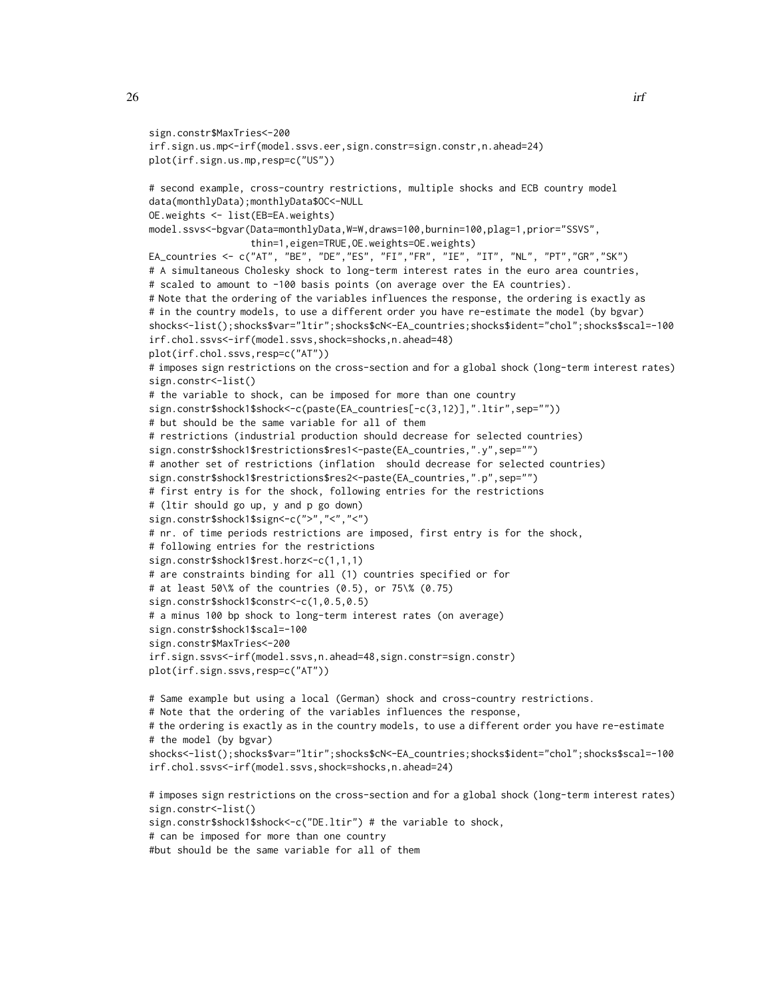```
sign.constr$MaxTries<-200
irf.sign.us.mp<-irf(model.ssvs.eer,sign.constr=sign.constr,n.ahead=24)
plot(irf.sign.us.mp,resp=c("US"))
# second example, cross-country restrictions, multiple shocks and ECB country model
data(monthlyData);monthlyData$OC<-NULL
OE.weights <- list(EB=EA.weights)
model.ssvs<-bgvar(Data=monthlyData,W=W,draws=100,burnin=100,plag=1,prior="SSVS",
                  thin=1,eigen=TRUE,OE.weights=OE.weights)
EA_countries <- c("AT", "BE", "DE","ES", "FI","FR", "IE", "IT", "NL", "PT","GR","SK")
# A simultaneous Cholesky shock to long-term interest rates in the euro area countries,
# scaled to amount to -100 basis points (on average over the EA countries).
# Note that the ordering of the variables influences the response, the ordering is exactly as
# in the country models, to use a different order you have re-estimate the model (by bgvar)
shocks<-list();shocks$var="ltir";shocks$cN<-EA_countries;shocks$ident="chol";shocks$scal=-100
irf.chol.ssvs<-irf(model.ssvs,shock=shocks,n.ahead=48)
plot(irf.chol.ssvs,resp=c("AT"))
# imposes sign restrictions on the cross-section and for a global shock (long-term interest rates)
sign.constr<-list()
# the variable to shock, can be imposed for more than one country
sign.constr$shock1$shock<-c(paste(EA_countries[-c(3,12)],".ltir",sep=""))
# but should be the same variable for all of them
# restrictions (industrial production should decrease for selected countries)
sign.constr$shock1$restrictions$res1<-paste(EA_countries,".y",sep="")
# another set of restrictions (inflation should decrease for selected countries)
sign.constr$shock1$restrictions$res2<-paste(EA_countries,".p",sep="")
# first entry is for the shock, following entries for the restrictions
# (ltir should go up, y and p go down)
sign.constr$shock1$sign<-c(">","<","<")
# nr. of time periods restrictions are imposed, first entry is for the shock,
# following entries for the restrictions
sign.constr$shock1$rest.horz<-c(1,1,1)
# are constraints binding for all (1) countries specified or for
# at least 50\% of the countries (0.5), or 75\% (0.75)
sign.constr$shock1$constr<-c(1,0.5,0.5)
# a minus 100 bp shock to long-term interest rates (on average)
sign.constr$shock1$scal=-100
sign.constr$MaxTries<-200
irf.sign.ssvs<-irf(model.ssvs,n.ahead=48,sign.constr=sign.constr)
plot(irf.sign.ssvs,resp=c("AT"))
# Same example but using a local (German) shock and cross-country restrictions.
# Note that the ordering of the variables influences the response,
# the ordering is exactly as in the country models, to use a different order you have re-estimate
# the model (by bgvar)
shocks<-list();shocks$var="ltir";shocks$cN<-EA_countries;shocks$ident="chol";shocks$scal=-100
irf.chol.ssvs<-irf(model.ssvs,shock=shocks,n.ahead=24)
```

```
# imposes sign restrictions on the cross-section and for a global shock (long-term interest rates)
sign.constr<-list()
sign.constr$shock1$shock<-c("DE.ltir") # the variable to shock,
# can be imposed for more than one country
#but should be the same variable for all of them
```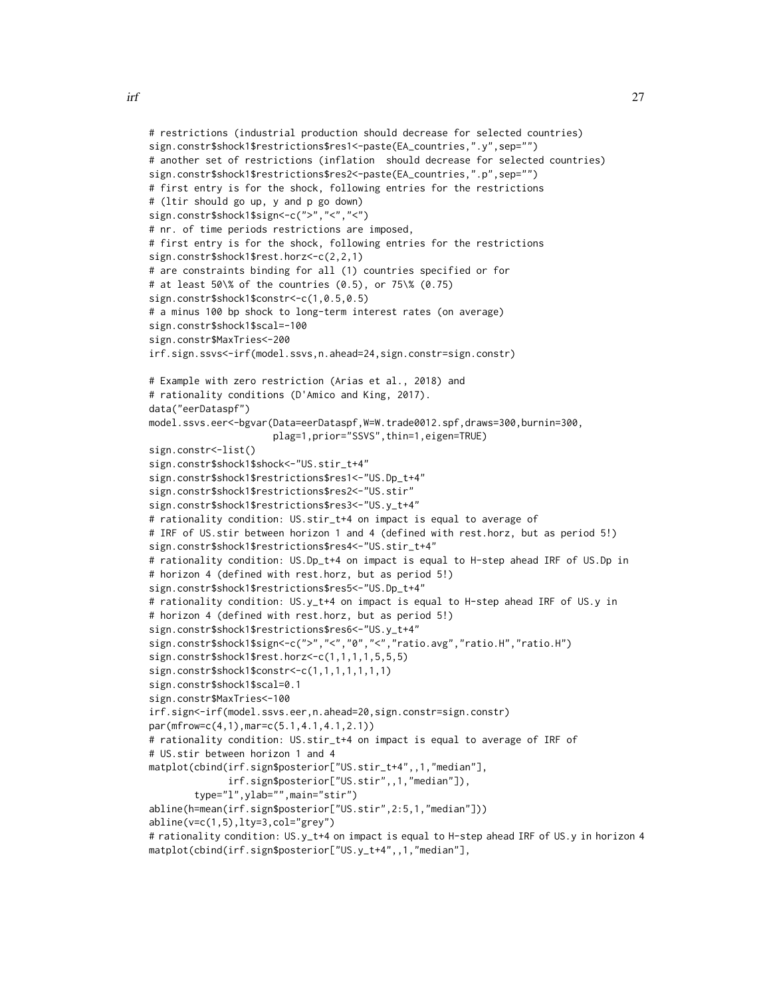```
# restrictions (industrial production should decrease for selected countries)
sign.constr$shock1$restrictions$res1<-paste(EA_countries,".y",sep="")
# another set of restrictions (inflation should decrease for selected countries)
sign.constr$shock1$restrictions$res2<-paste(EA_countries,".p",sep="")
# first entry is for the shock, following entries for the restrictions
# (ltir should go up, y and p go down)
sign.constr$shock1$sign<-c(">","<","<")
# nr. of time periods restrictions are imposed,
# first entry is for the shock, following entries for the restrictions
sign.constr$shock1$rest.horz<-c(2,2,1)
# are constraints binding for all (1) countries specified or for
# at least 50\% of the countries (0.5), or 75\% (0.75)
sign.constr$shock1$constr<-c(1,0.5,0.5)
# a minus 100 bp shock to long-term interest rates (on average)
sign.constr$shock1$scal=-100
sign.constr$MaxTries<-200
irf.sign.ssvs<-irf(model.ssvs,n.ahead=24,sign.constr=sign.constr)
# Example with zero restriction (Arias et al., 2018) and
# rationality conditions (D'Amico and King, 2017).
data("eerDataspf")
model.ssvs.eer<-bgvar(Data=eerDataspf,W=W.trade0012.spf,draws=300,burnin=300,
                      plag=1,prior="SSVS",thin=1,eigen=TRUE)
sign.constr<-list()
sign.constr$shock1$shock<-"US.stir_t+4"
sign.constr$shock1$restrictions$res1<-"US.Dp_t+4"
sign.constr$shock1$restrictions$res2<-"US.stir"
sign.constr$shock1$restrictions$res3<-"US.y_t+4"
# rationality condition: US.stir_t+4 on impact is equal to average of
# IRF of US.stir between horizon 1 and 4 (defined with rest.horz, but as period 5!)
sign.constr$shock1$restrictions$res4<-"US.stir_t+4"
# rationality condition: US.Dp_t+4 on impact is equal to H-step ahead IRF of US.Dp in
# horizon 4 (defined with rest.horz, but as period 5!)
sign.constr$shock1$restrictions$res5<-"US.Dp_t+4"
# rationality condition: US.y_t+4 on impact is equal to H-step ahead IRF of US.y in
# horizon 4 (defined with rest.horz, but as period 5!)
sign.constr$shock1$restrictions$res6<-"US.y_t+4"
sign.constr$shock1$sign<-c(">","<","0","<","ratio.avg","ratio.H","ratio.H")
sign.constr$shock1$rest.horz<-c(1,1,1,1,5,5,5)
sign.constr$shock1$constr<-c(1,1,1,1,1,1,1)
sign.constr$shock1$scal=0.1
sign.constr$MaxTries<-100
irf.sign<-irf(model.ssvs.eer,n.ahead=20,sign.constr=sign.constr)
par(mfrow=c(4,1),mar=c(5.1,4.1,4.1,2.1))
# rationality condition: US.stir_t+4 on impact is equal to average of IRF of
# US.stir between horizon 1 and 4
matplot(cbind(irf.sign$posterior["US.stir_t+4",,1,"median"],
              irf.sign$posterior["US.stir",,1,"median"]),
        type="l",ylab="",main="stir")
abline(h=mean(irf.sign$posterior["US.stir",2:5,1,"median"]))
abline(v=c(1,5),lty=3,col="grey")
# rationality condition: US.y_t+4 on impact is equal to H-step ahead IRF of US.y in horizon 4
matplot(cbind(irf.sign$posterior["US.y_t+4",,1,"median"],
```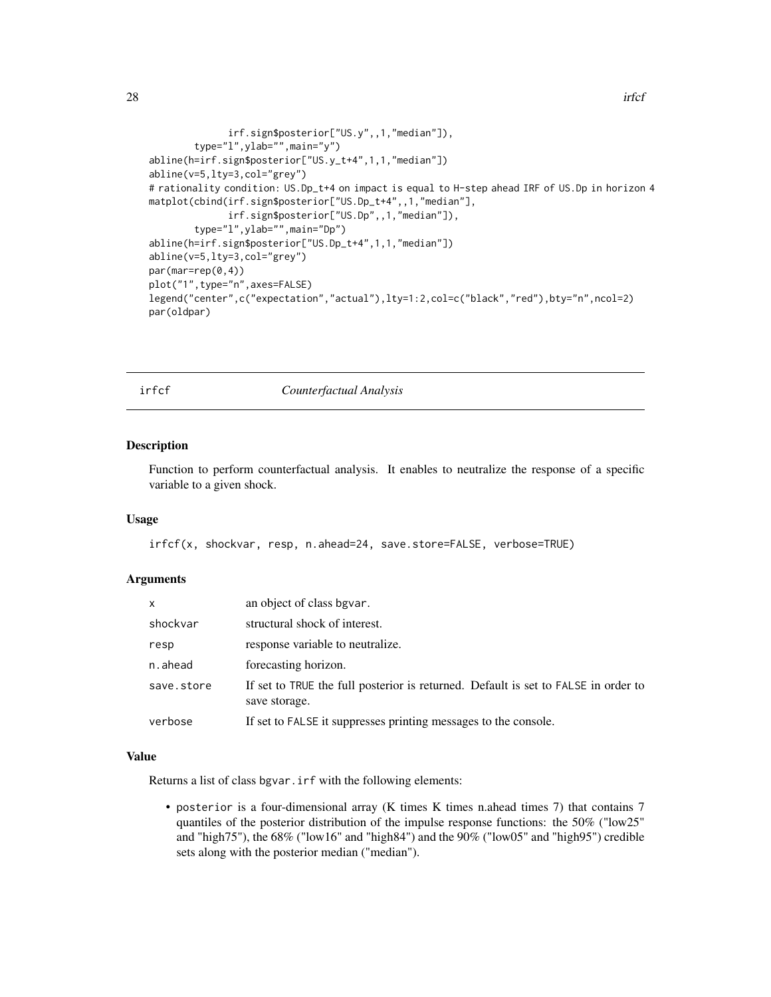```
irf.sign$posterior["US.y",,1,"median"]),
        type="l",ylab="",main="y")
abline(h=irf.sign$posterior["US.y_t+4",1,1,"median"])
abline(v=5,lty=3,col="grey")
# rationality condition: US.Dp_t+4 on impact is equal to H-step ahead IRF of US.Dp in horizon 4
matplot(cbind(irf.sign$posterior["US.Dp_t+4",,1,"median"],
              irf.sign$posterior["US.Dp",,1,"median"]),
        type="l",ylab="",main="Dp")
abline(h=irf.sign$posterior["US.Dp_t+4",1,1,"median"])
abline(v=5,lty=3,col="grey")
par(mar=rep(0,4))
plot("1",type="n",axes=FALSE)
legend("center",c("expectation","actual"),lty=1:2,col=c("black","red"),bty="n",ncol=2)
par(oldpar)
```
irfcf *Counterfactual Analysis*

#### **Description**

Function to perform counterfactual analysis. It enables to neutralize the response of a specific variable to a given shock.

#### Usage

irfcf(x, shockvar, resp, n.ahead=24, save.store=FALSE, verbose=TRUE)

#### **Arguments**

| X          | an object of class bgvar.                                                                           |
|------------|-----------------------------------------------------------------------------------------------------|
| shockvar   | structural shock of interest.                                                                       |
| resp       | response variable to neutralize.                                                                    |
| n.ahead    | forecasting horizon.                                                                                |
| save.store | If set to TRUE the full posterior is returned. Default is set to FALSE in order to<br>save storage. |
| verbose    | If set to FALSE it suppresses printing messages to the console.                                     |

#### Value

Returns a list of class bgvar.irf with the following elements:

• posterior is a four-dimensional array (K times K times n.ahead times 7) that contains 7 quantiles of the posterior distribution of the impulse response functions: the 50% ("low25" and "high75"), the 68% ("low16" and "high84") and the 90% ("low05" and "high95") credible sets along with the posterior median ("median").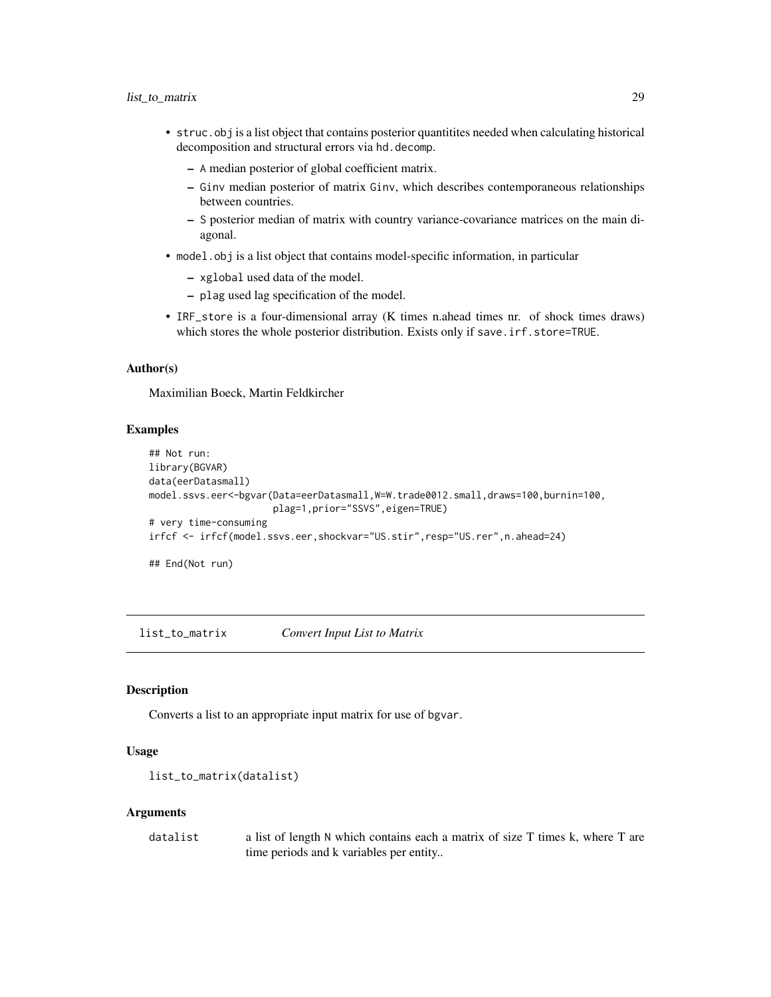- <span id="page-28-0"></span>• struc.obj is a list object that contains posterior quantitites needed when calculating historical decomposition and structural errors via hd.decomp.
	- A median posterior of global coefficient matrix.
	- Ginv median posterior of matrix Ginv, which describes contemporaneous relationships between countries.
	- S posterior median of matrix with country variance-covariance matrices on the main diagonal.
- model.obj is a list object that contains model-specific information, in particular
	- xglobal used data of the model.
	- plag used lag specification of the model.
- IRF\_store is a four-dimensional array (K times n.ahead times nr. of shock times draws) which stores the whole posterior distribution. Exists only if save.irf.store=TRUE.

#### Author(s)

Maximilian Boeck, Martin Feldkircher

#### Examples

```
## Not run:
library(BGVAR)
data(eerDatasmall)
model.ssvs.eer<-bgvar(Data=eerDatasmall,W=W.trade0012.small,draws=100,burnin=100,
                      plag=1,prior="SSVS",eigen=TRUE)
# very time-consuming
irfcf <- irfcf(model.ssvs.eer,shockvar="US.stir",resp="US.rer",n.ahead=24)
```
## End(Not run)

list\_to\_matrix *Convert Input List to Matrix*

#### Description

Converts a list to an appropriate input matrix for use of bgvar.

#### Usage

```
list_to_matrix(datalist)
```
#### Arguments

datalist a list of length N which contains each a matrix of size T times k, where T are time periods and k variables per entity..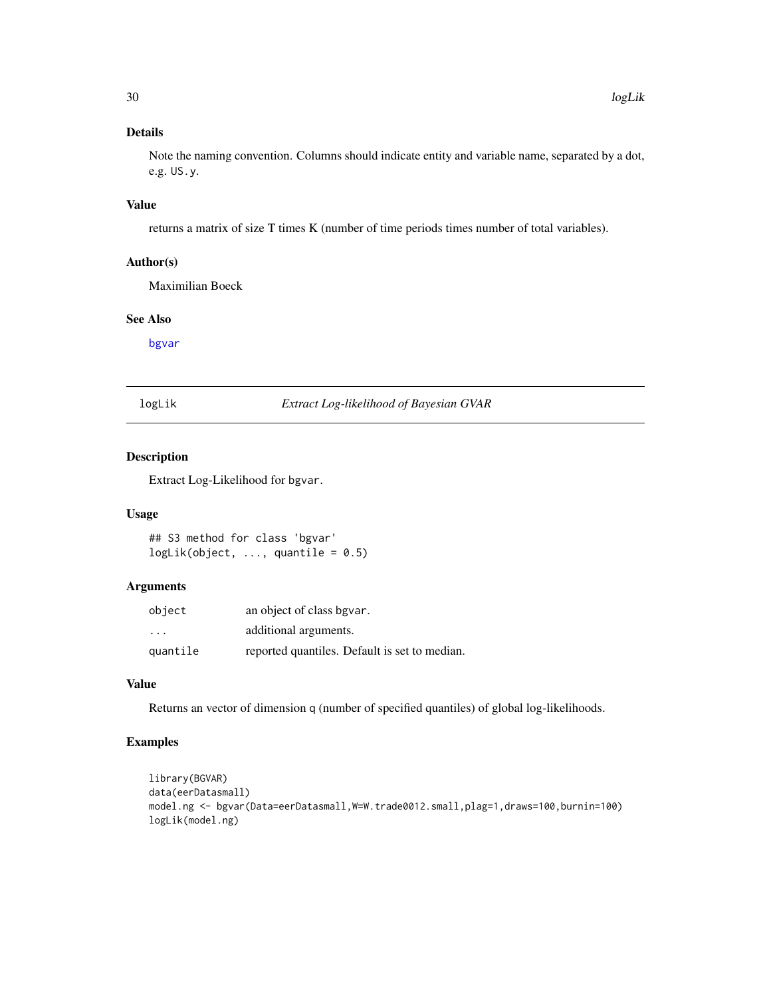<span id="page-29-0"></span>Note the naming convention. Columns should indicate entity and variable name, separated by a dot, e.g. US.y.

#### Value

returns a matrix of size T times K (number of time periods times number of total variables).

#### Author(s)

Maximilian Boeck

#### See Also

[bgvar](#page-3-1)

logLik *Extract Log-likelihood of Bayesian GVAR*

#### Description

Extract Log-Likelihood for bgvar.

#### Usage

```
## S3 method for class 'bgvar'
logLik(object, ..., quantile = 0.5)
```
#### Arguments

| object   | an object of class bgvar.                     |
|----------|-----------------------------------------------|
| .        | additional arguments.                         |
| quantile | reported quantiles. Default is set to median. |

#### Value

Returns an vector of dimension q (number of specified quantiles) of global log-likelihoods.

#### Examples

```
library(BGVAR)
data(eerDatasmall)
model.ng <- bgvar(Data=eerDatasmall,W=W.trade0012.small,plag=1,draws=100,burnin=100)
logLik(model.ng)
```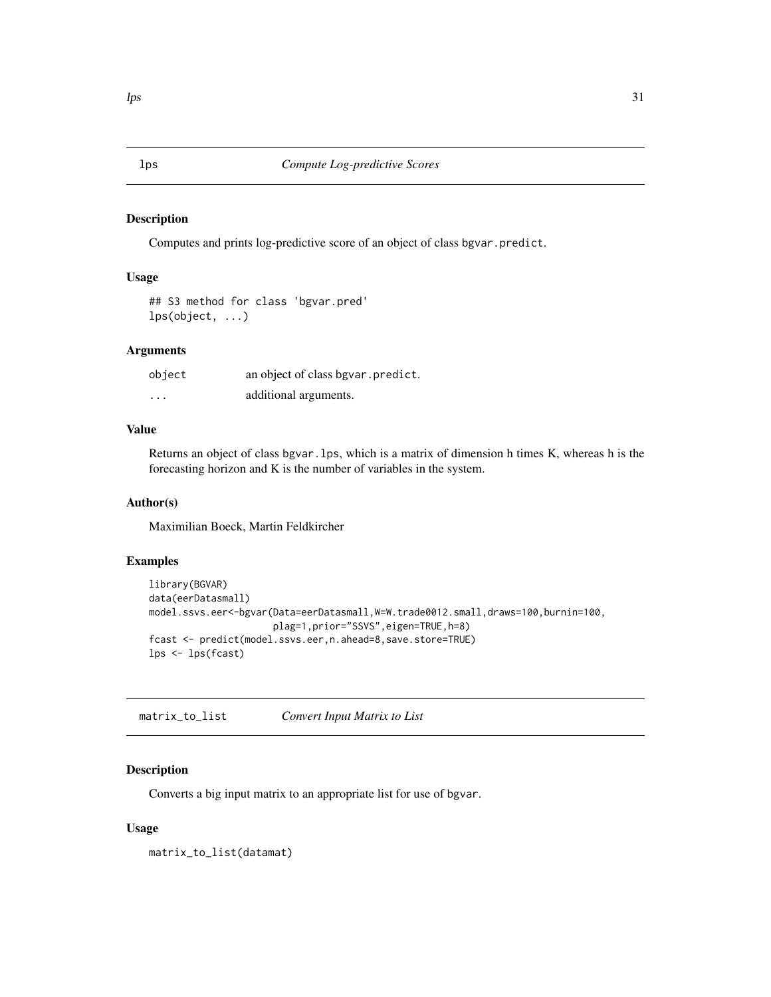#### Description

Computes and prints log-predictive score of an object of class bgvar.predict.

#### Usage

## S3 method for class 'bgvar.pred' lps(object, ...)

#### Arguments

| object   | an object of class bgvar.predict. |
|----------|-----------------------------------|
| $\cdots$ | additional arguments.             |

#### Value

Returns an object of class bgvar.lps, which is a matrix of dimension h times K, whereas h is the forecasting horizon and K is the number of variables in the system.

#### Author(s)

Maximilian Boeck, Martin Feldkircher

#### Examples

```
library(BGVAR)
data(eerDatasmall)
model.ssvs.eer<-bgvar(Data=eerDatasmall,W=W.trade0012.small,draws=100,burnin=100,
                      plag=1,prior="SSVS",eigen=TRUE,h=8)
fcast <- predict(model.ssvs.eer,n.ahead=8,save.store=TRUE)
lps <- lps(fcast)
```
matrix\_to\_list *Convert Input Matrix to List*

#### Description

Converts a big input matrix to an appropriate list for use of bgvar.

#### Usage

matrix\_to\_list(datamat)

<span id="page-30-0"></span>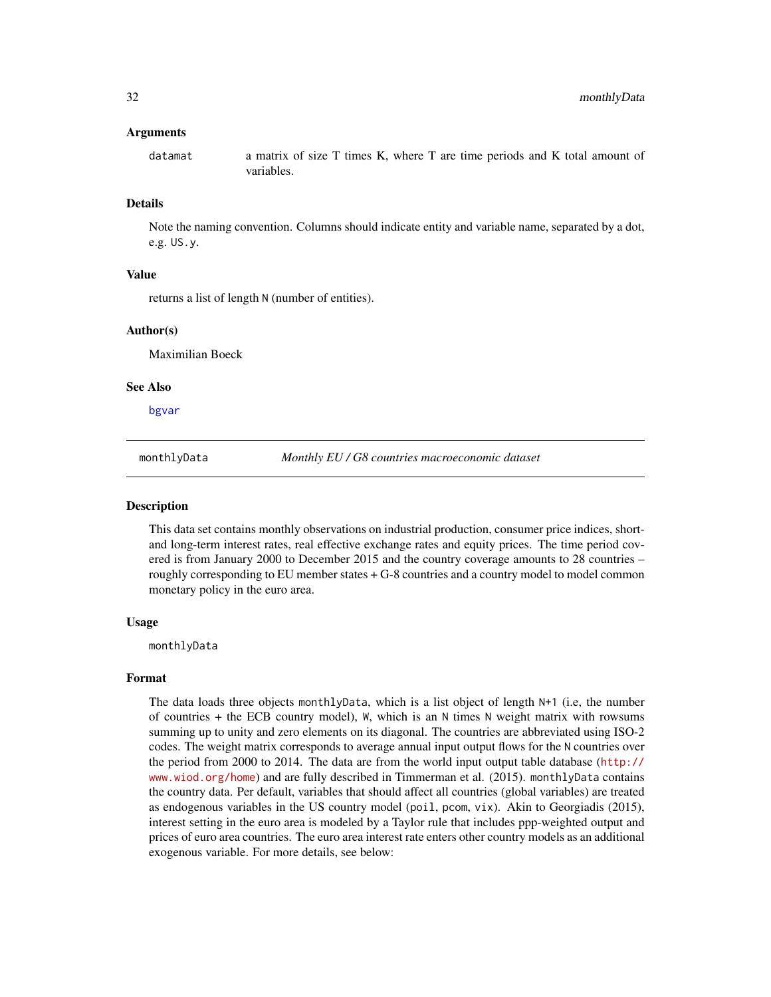#### <span id="page-31-0"></span>Arguments

datamat a matrix of size T times K, where T are time periods and K total amount of variables.

#### Details

Note the naming convention. Columns should indicate entity and variable name, separated by a dot, e.g. US.y.

#### Value

returns a list of length N (number of entities).

#### Author(s)

Maximilian Boeck

#### See Also

[bgvar](#page-3-1)

monthlyData *Monthly EU / G8 countries macroeconomic dataset*

#### Description

This data set contains monthly observations on industrial production, consumer price indices, shortand long-term interest rates, real effective exchange rates and equity prices. The time period covered is from January 2000 to December 2015 and the country coverage amounts to 28 countries – roughly corresponding to EU member states + G-8 countries and a country model to model common monetary policy in the euro area.

#### Usage

monthlyData

#### Format

The data loads three objects monthlyData, which is a list object of length N+1 (i.e, the number of countries + the ECB country model), W, which is an N times N weight matrix with rowsums summing up to unity and zero elements on its diagonal. The countries are abbreviated using ISO-2 codes. The weight matrix corresponds to average annual input output flows for the N countries over the period from 2000 to 2014. The data are from the world input output table database ([http://](http://www.wiod.org/home) [www.wiod.org/home](http://www.wiod.org/home)) and are fully described in Timmerman et al. (2015). monthlyData contains the country data. Per default, variables that should affect all countries (global variables) are treated as endogenous variables in the US country model (poil, pcom, vix). Akin to Georgiadis (2015), interest setting in the euro area is modeled by a Taylor rule that includes ppp-weighted output and prices of euro area countries. The euro area interest rate enters other country models as an additional exogenous variable. For more details, see below: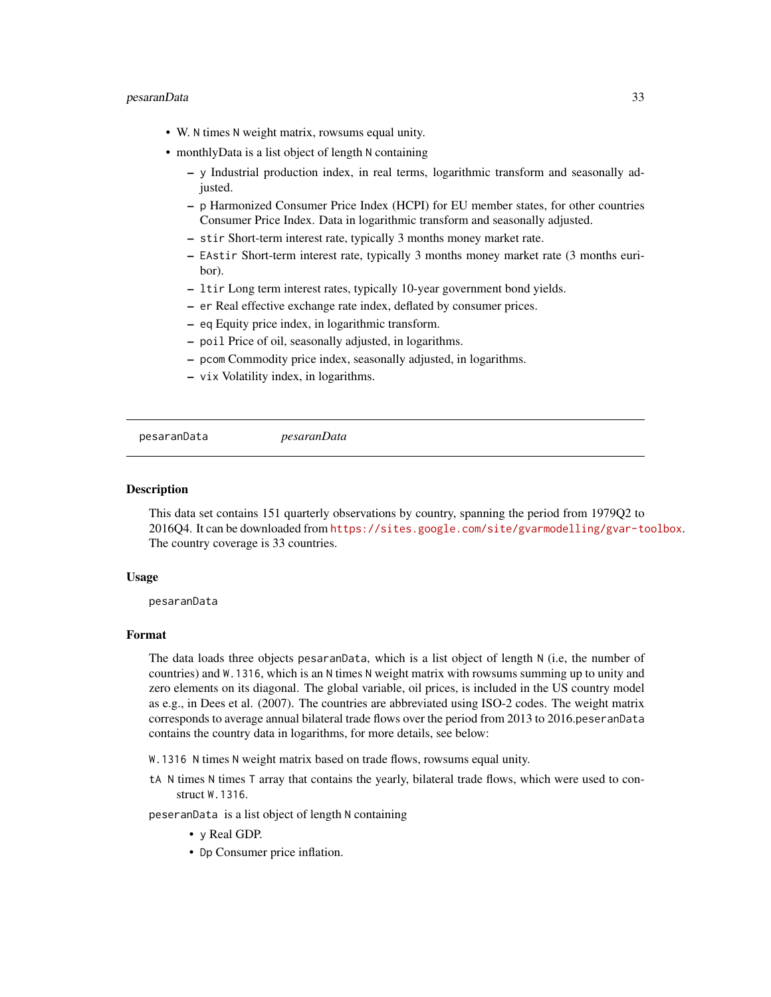#### <span id="page-32-0"></span>pesaranData 33

- W. N times N weight matrix, rowsums equal unity.
- monthlyData is a list object of length N containing
	- y Industrial production index, in real terms, logarithmic transform and seasonally adjusted.
	- p Harmonized Consumer Price Index (HCPI) for EU member states, for other countries Consumer Price Index. Data in logarithmic transform and seasonally adjusted.
	- stir Short-term interest rate, typically 3 months money market rate.
	- EAstir Short-term interest rate, typically 3 months money market rate (3 months euribor).
	- ltir Long term interest rates, typically 10-year government bond yields.
	- er Real effective exchange rate index, deflated by consumer prices.
	- eq Equity price index, in logarithmic transform.
	- poil Price of oil, seasonally adjusted, in logarithms.
	- pcom Commodity price index, seasonally adjusted, in logarithms.
	- vix Volatility index, in logarithms.

```
pesaranData pesaranData
```
#### **Description**

This data set contains 151 quarterly observations by country, spanning the period from 1979Q2 to 2016Q4. It can be downloaded from <https://sites.google.com/site/gvarmodelling/gvar-toolbox>. The country coverage is 33 countries.

#### Usage

pesaranData

#### Format

The data loads three objects pesaranData, which is a list object of length N (i.e, the number of countries) and W.1316, which is an N times N weight matrix with rowsums summing up to unity and zero elements on its diagonal. The global variable, oil prices, is included in the US country model as e.g., in Dees et al. (2007). The countries are abbreviated using ISO-2 codes. The weight matrix corresponds to average annual bilateral trade flows over the period from 2013 to 2016.peseranData contains the country data in logarithms, for more details, see below:

W.1316 N times N weight matrix based on trade flows, rowsums equal unity.

tA N times N times T array that contains the yearly, bilateral trade flows, which were used to construct W.1316.

peseranData is a list object of length N containing

- y Real GDP.
- Dp Consumer price inflation.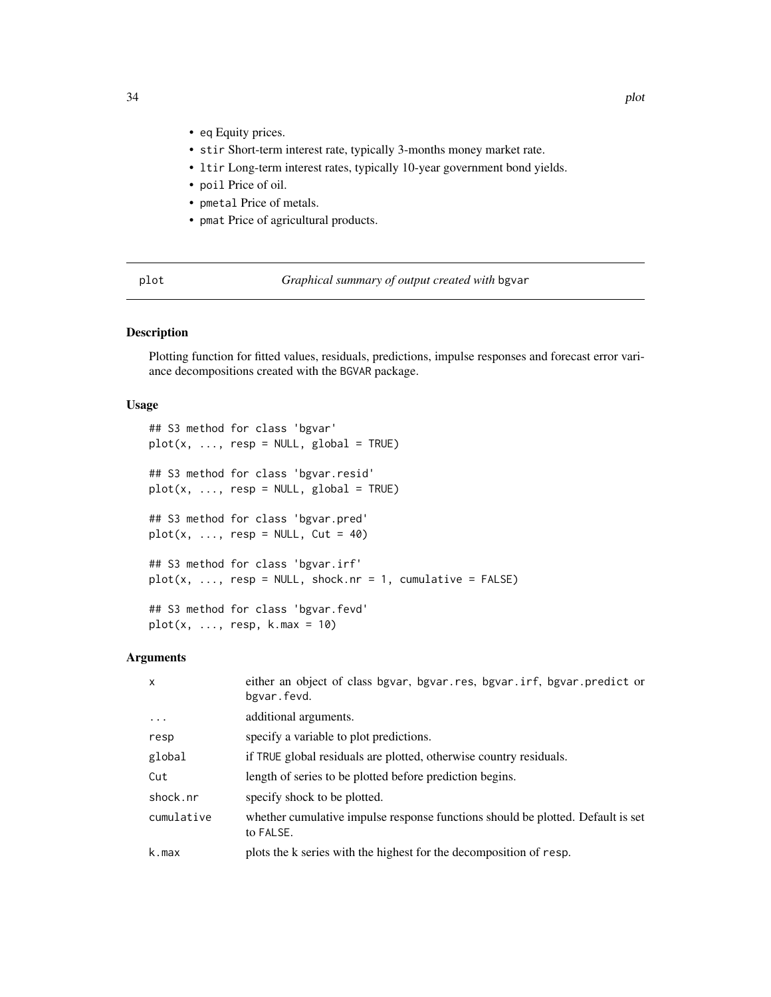- <span id="page-33-0"></span>• eq Equity prices.
- stir Short-term interest rate, typically 3-months money market rate.
- ltir Long-term interest rates, typically 10-year government bond yields.
- poil Price of oil.
- pmetal Price of metals.
- pmat Price of agricultural products.

| $\sim$<br>۰,<br>M. |
|--------------------|
|--------------------|

Graphical summary of output created with bgvar

#### Description

Plotting function for fitted values, residuals, predictions, impulse responses and forecast error variance decompositions created with the BGVAR package.

#### Usage

```
## S3 method for class 'bgvar'
plot(x, ..., resp = NULL, global = TRUE)## S3 method for class 'bgvar.resid'
plot(x, ..., resp = NULL, global = TRUE)## S3 method for class 'bgvar.pred'
plot(x, ..., resp = NULL, Cut = 40)## S3 method for class 'bgvar.irf'
plot(x, ..., resp = NULL, shock.nr = 1, cumulative = FALSE)## S3 method for class 'bgvar.fevd'
plot(x, ..., resp, k.max = 10)
```
#### Arguments

| $\mathsf{x}$ | either an object of class bgvar, bgvar.res, bgvar.irf, bgvar.predict or<br>bgvar.fevd.       |
|--------------|----------------------------------------------------------------------------------------------|
| .            | additional arguments.                                                                        |
| resp         | specify a variable to plot predictions.                                                      |
| global       | if TRUE global residuals are plotted, otherwise country residuals.                           |
| Cut          | length of series to be plotted before prediction begins.                                     |
| shock.nr     | specify shock to be plotted.                                                                 |
| cumulative   | whether cumulative impulse response functions should be plotted. Default is set<br>to FALSE. |
| k.max        | plots the k series with the highest for the decomposition of resp.                           |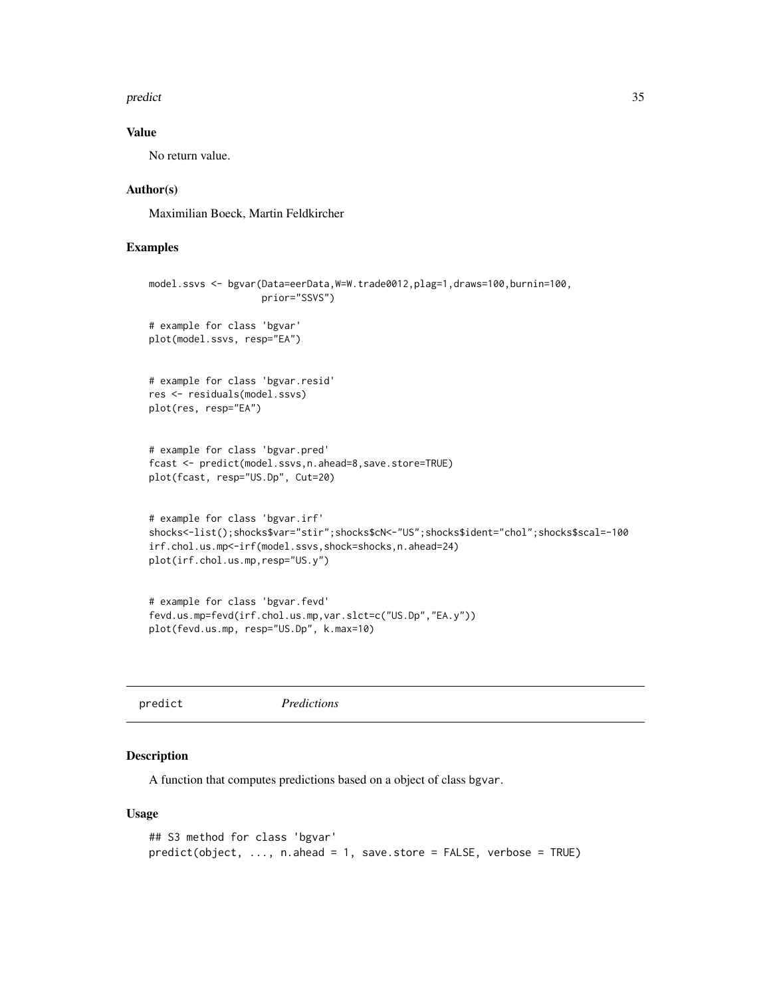#### <span id="page-34-0"></span>predict 35

#### Value

No return value.

#### Author(s)

Maximilian Boeck, Martin Feldkircher

#### Examples

```
model.ssvs <- bgvar(Data=eerData, W=W.trade0012, plag=1,draws=100, burnin=100,
                    prior="SSVS")
# example for class 'bgvar'
plot(model.ssvs, resp="EA")
# example for class 'bgvar.resid'
res <- residuals(model.ssvs)
plot(res, resp="EA")
# example for class 'bgvar.pred'
fcast <- predict(model.ssvs,n.ahead=8,save.store=TRUE)
plot(fcast, resp="US.Dp", Cut=20)
# example for class 'bgvar.irf'
shocks<-list();shocks$var="stir";shocks$cN<-"US";shocks$ident="chol";shocks$scal=-100
irf.chol.us.mp<-irf(model.ssvs,shock=shocks,n.ahead=24)
plot(irf.chol.us.mp,resp="US.y")
# example for class 'bgvar.fevd'
fevd.us.mp=fevd(irf.chol.us.mp,var.slct=c("US.Dp","EA.y"))
```

```
plot(fevd.us.mp, resp="US.Dp", k.max=10)
```

```
predict Predictions
```
#### Description

A function that computes predictions based on a object of class bgvar.

#### Usage

```
## S3 method for class 'bgvar'
predict(object, ..., n.ahead = 1, save.store = FALSE, verbose = TRUE)
```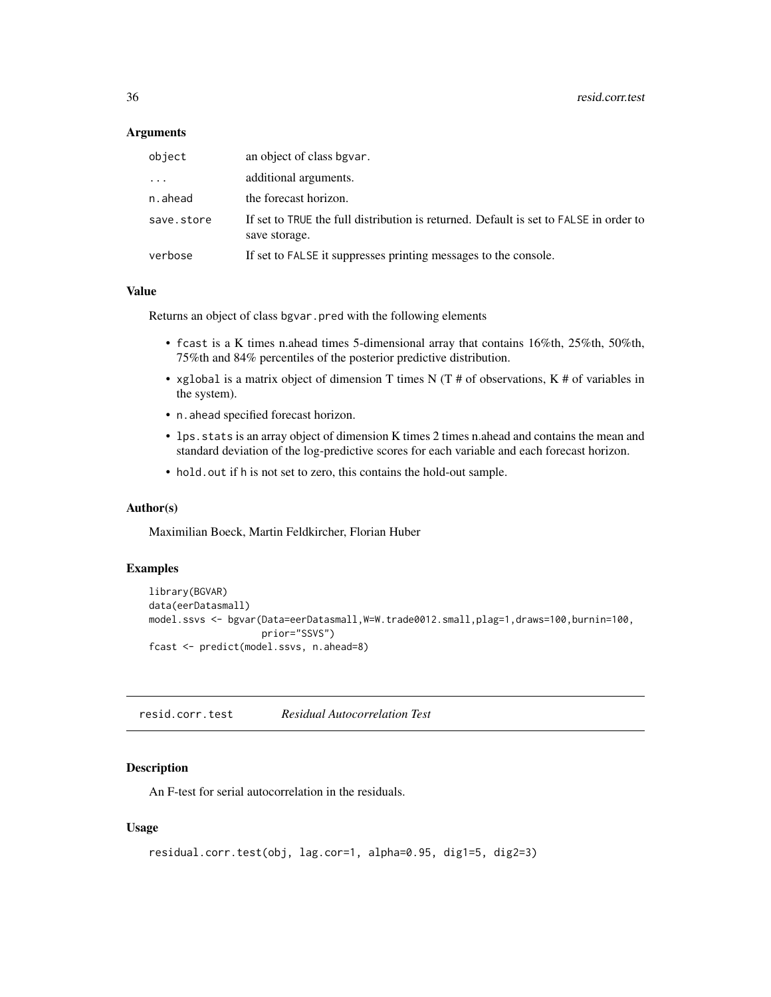#### <span id="page-35-0"></span>**Arguments**

| object     | an object of class bgvar.                                                                              |
|------------|--------------------------------------------------------------------------------------------------------|
| $\cdots$   | additional arguments.                                                                                  |
| n.ahead    | the forecast horizon.                                                                                  |
| save.store | If set to TRUE the full distribution is returned. Default is set to FALSE in order to<br>save storage. |
| verbose    | If set to FALSE it suppresses printing messages to the console.                                        |

#### Value

Returns an object of class bgvar.pred with the following elements

- fcast is a K times n.ahead times 5-dimensional array that contains 16%th, 25%th, 50%th, 75%th and 84% percentiles of the posterior predictive distribution.
- xglobal is a matrix object of dimension T times N (T  $#$  of observations, K  $#$  of variables in the system).
- n.ahead specified forecast horizon.
- lps.stats is an array object of dimension K times 2 times n.ahead and contains the mean and standard deviation of the log-predictive scores for each variable and each forecast horizon.
- hold.out if h is not set to zero, this contains the hold-out sample.

#### Author(s)

Maximilian Boeck, Martin Feldkircher, Florian Huber

#### Examples

```
library(BGVAR)
data(eerDatasmall)
model.ssvs <- bgvar(Data=eerDatasmall,W=W.trade0012.small,plag=1,draws=100,burnin=100,
                    prior="SSVS")
fcast <- predict(model.ssvs, n.ahead=8)
```
<span id="page-35-1"></span>resid.corr.test *Residual Autocorrelation Test*

#### Description

An F-test for serial autocorrelation in the residuals.

#### Usage

```
residual.corr.test(obj, lag.cor=1, alpha=0.95, dig1=5, dig2=3)
```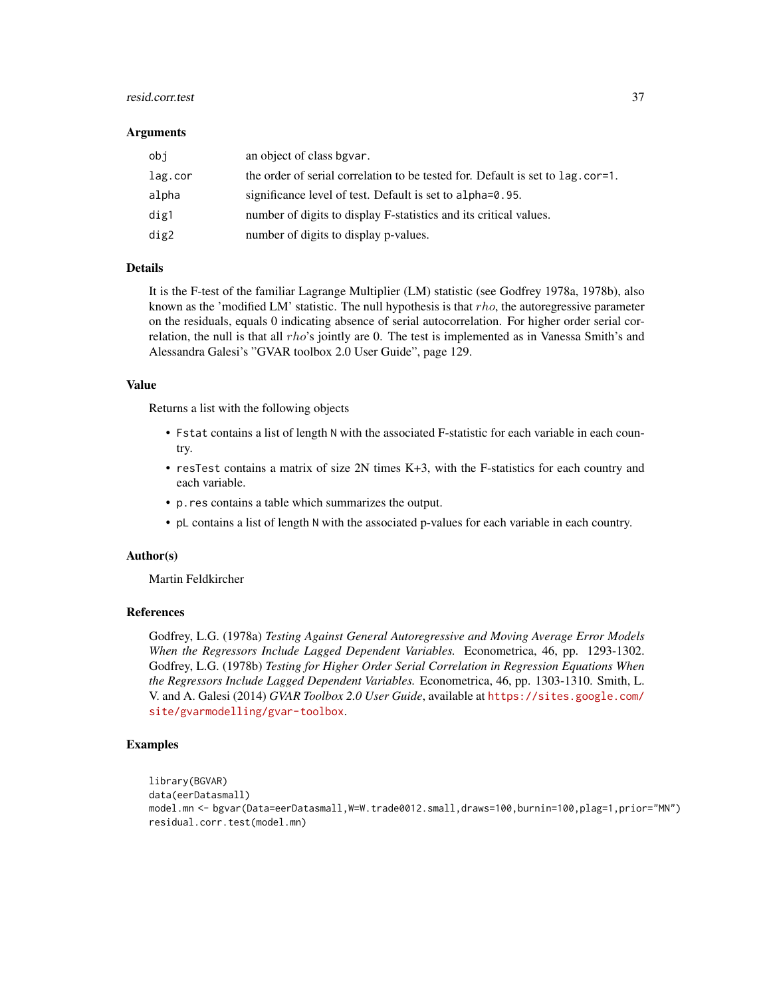#### resid.corr.test 37

#### **Arguments**

| obi     | an object of class bgvar.                                                      |
|---------|--------------------------------------------------------------------------------|
| lag.cor | the order of serial correlation to be tested for. Default is set to lag.cor=1. |
| alpha   | significance level of test. Default is set to alpha=0.95.                      |
| dig1    | number of digits to display F-statistics and its critical values.              |
| dig2    | number of digits to display p-values.                                          |

#### Details

It is the F-test of the familiar Lagrange Multiplier (LM) statistic (see Godfrey 1978a, 1978b), also known as the 'modified LM' statistic. The null hypothesis is that  $rho$ , the autoregressive parameter on the residuals, equals 0 indicating absence of serial autocorrelation. For higher order serial correlation, the null is that all rho's jointly are 0. The test is implemented as in Vanessa Smith's and Alessandra Galesi's "GVAR toolbox 2.0 User Guide", page 129.

#### Value

Returns a list with the following objects

- Fstat contains a list of length N with the associated F-statistic for each variable in each country.
- resTest contains a matrix of size 2N times K+3, with the F-statistics for each country and each variable.
- p.res contains a table which summarizes the output.
- pL contains a list of length N with the associated p-values for each variable in each country.

#### Author(s)

Martin Feldkircher

#### References

Godfrey, L.G. (1978a) *Testing Against General Autoregressive and Moving Average Error Models When the Regressors Include Lagged Dependent Variables.* Econometrica, 46, pp. 1293-1302. Godfrey, L.G. (1978b) *Testing for Higher Order Serial Correlation in Regression Equations When the Regressors Include Lagged Dependent Variables.* Econometrica, 46, pp. 1303-1310. Smith, L. V. and A. Galesi (2014) *GVAR Toolbox 2.0 User Guide*, available at [https://sites.google.com/](https://sites.google.com/site/gvarmodelling/gvar-toolbox) [site/gvarmodelling/gvar-toolbox](https://sites.google.com/site/gvarmodelling/gvar-toolbox).

#### Examples

```
library(BGVAR)
data(eerDatasmall)
model.mn <- bgvar(Data=eerDatasmall,W=W.trade0012.small,draws=100,burnin=100,plag=1,prior="MN")
residual.corr.test(model.mn)
```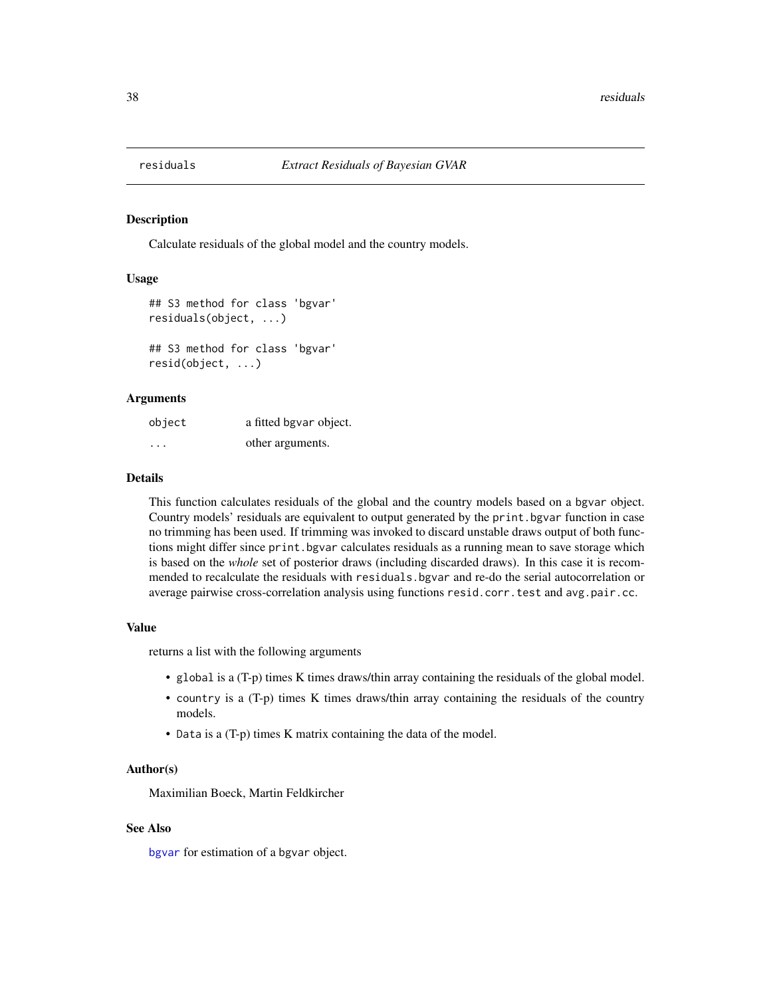<span id="page-37-1"></span><span id="page-37-0"></span>

#### Description

Calculate residuals of the global model and the country models.

#### Usage

```
## S3 method for class 'bgvar'
residuals(object, ...)
## S3 method for class 'bgvar'
resid(object, ...)
```
#### Arguments

| object   | a fitted bgvar object. |
|----------|------------------------|
| $\cdots$ | other arguments.       |

#### Details

This function calculates residuals of the global and the country models based on a bgvar object. Country models' residuals are equivalent to output generated by the print.bgvar function in case no trimming has been used. If trimming was invoked to discard unstable draws output of both functions might differ since print.bgvar calculates residuals as a running mean to save storage which is based on the *whole* set of posterior draws (including discarded draws). In this case it is recommended to recalculate the residuals with residuals.bgvar and re-do the serial autocorrelation or average pairwise cross-correlation analysis using functions resid.corr.test and avg.pair.cc.

#### Value

returns a list with the following arguments

- global is a (T-p) times K times draws/thin array containing the residuals of the global model.
- country is a (T-p) times K times draws/thin array containing the residuals of the country models.
- Data is a (T-p) times K matrix containing the data of the model.

#### Author(s)

Maximilian Boeck, Martin Feldkircher

#### See Also

[bgvar](#page-3-1) for estimation of a bgvar object.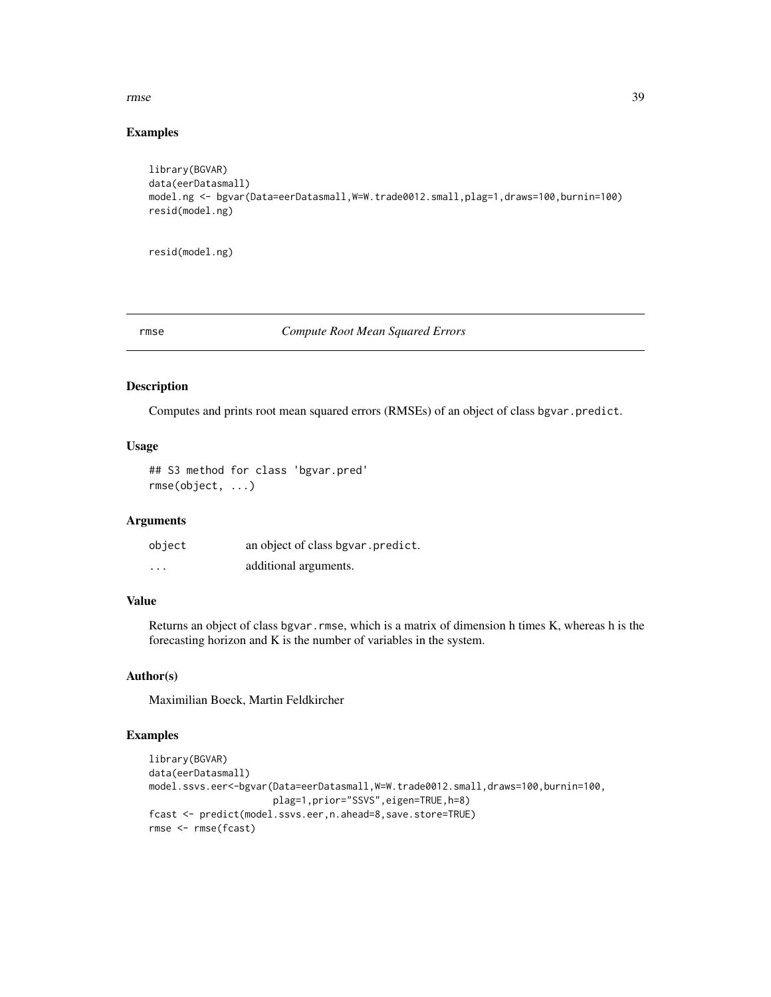#### <span id="page-38-0"></span>rmse 39

#### Examples

```
library(BGVAR)
data(eerDatasmall)
model.ng <- bgvar(Data=eerDatasmall,W=W.trade0012.small,plag=1,draws=100,burnin=100)
resid(model.ng)
```
resid(model.ng)

#### rmse *Compute Root Mean Squared Errors*

#### Description

Computes and prints root mean squared errors (RMSEs) of an object of class bgvar.predict.

#### Usage

## S3 method for class 'bgvar.pred' rmse(object, ...)

#### Arguments

| object  | an object of class bgvar. predict. |
|---------|------------------------------------|
| $\cdot$ | additional arguments.              |

#### Value

Returns an object of class bgvar.rmse, which is a matrix of dimension h times K, whereas h is the forecasting horizon and K is the number of variables in the system.

### Author(s)

Maximilian Boeck, Martin Feldkircher

#### Examples

```
library(BGVAR)
data(eerDatasmall)
model.ssvs.eer<-bgvar(Data=eerDatasmall,W=W.trade0012.small,draws=100,burnin=100,
                      plag=1,prior="SSVS",eigen=TRUE,h=8)
fcast <- predict(model.ssvs.eer,n.ahead=8,save.store=TRUE)
rmse <- rmse(fcast)
```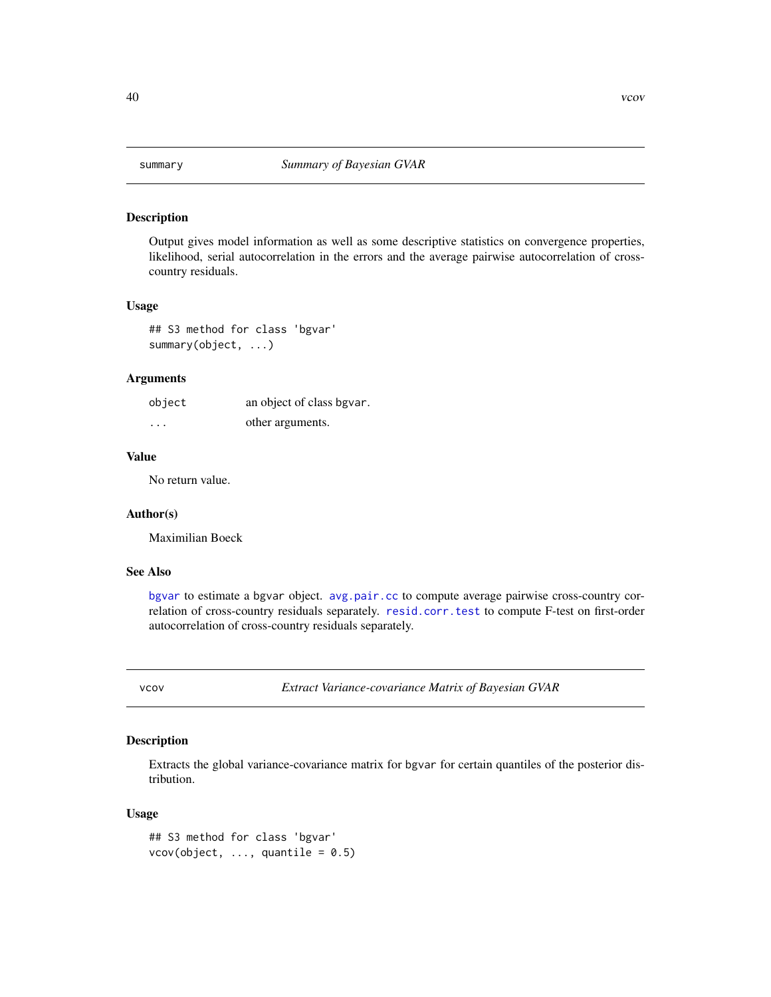<span id="page-39-0"></span>

#### Description

Output gives model information as well as some descriptive statistics on convergence properties, likelihood, serial autocorrelation in the errors and the average pairwise autocorrelation of crosscountry residuals.

#### Usage

## S3 method for class 'bgvar' summary(object, ...)

#### Arguments

| object                  | an object of class bgvar. |
|-------------------------|---------------------------|
| $\cdot$ $\cdot$ $\cdot$ | other arguments.          |

### Value

No return value.

#### Author(s)

Maximilian Boeck

#### See Also

[bgvar](#page-3-1) to estimate a bgvar object. [avg.pair.cc](#page-1-1) to compute average pairwise cross-country correlation of cross-country residuals separately. [resid.corr.test](#page-35-1) to compute F-test on first-order autocorrelation of cross-country residuals separately.

vcov *Extract Variance-covariance Matrix of Bayesian GVAR*

#### Description

Extracts the global variance-covariance matrix for bgvar for certain quantiles of the posterior distribution.

#### Usage

```
## S3 method for class 'bgvar'
vcov(object, ..., quantile = 0.5)
```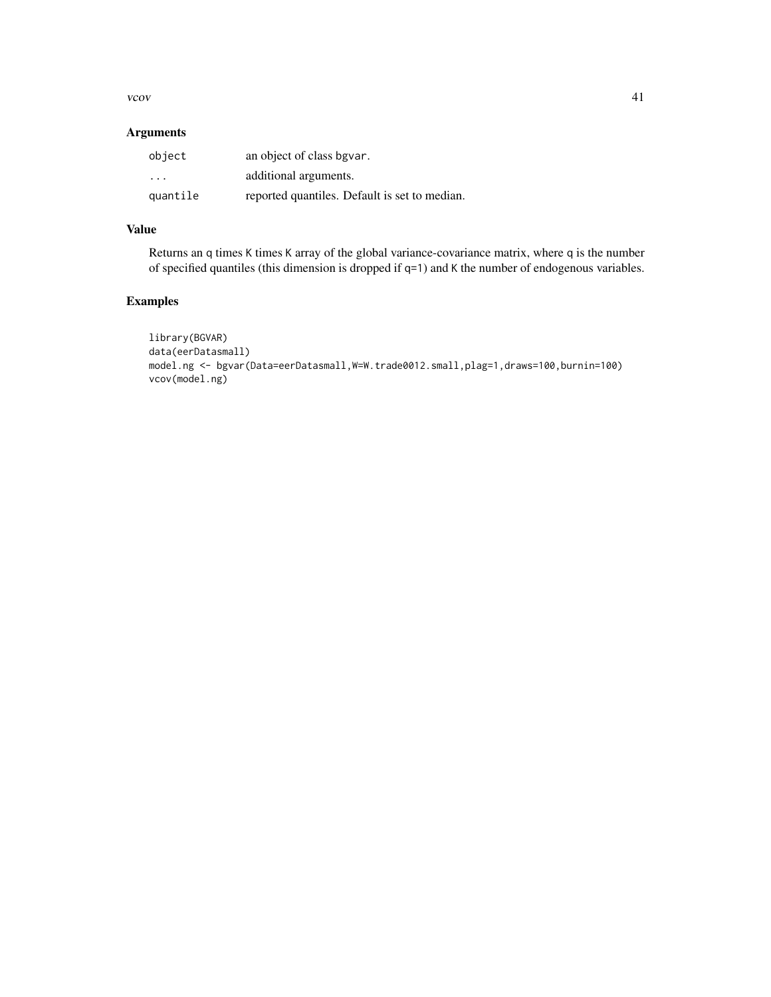vcov  $\sim$  41

#### Arguments

| object                  | an object of class bgvar.                     |
|-------------------------|-----------------------------------------------|
| $\cdot$ $\cdot$ $\cdot$ | additional arguments.                         |
| quantile                | reported quantiles. Default is set to median. |

### Value

Returns an q times K times K array of the global variance-covariance matrix, where q is the number of specified quantiles (this dimension is dropped if q=1) and K the number of endogenous variables.

### Examples

```
library(BGVAR)
data(eerDatasmall)
model.ng <- bgvar(Data=eerDatasmall,W=W.trade0012.small,plag=1,draws=100,burnin=100)
vcov(model.ng)
```